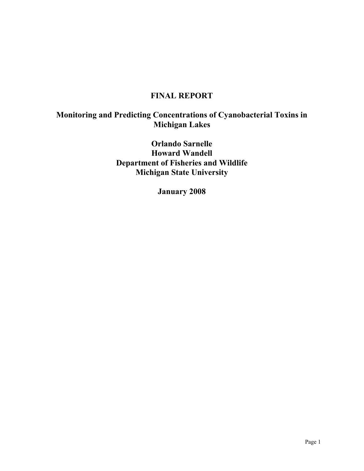# **FINAL REPORT**

# **Monitoring and Predicting Concentrations of Cyanobacterial Toxins in Michigan Lakes**

**Orlando Sarnelle Howard Wandell Department of Fisheries and Wildlife Michigan State University**

**January 2008**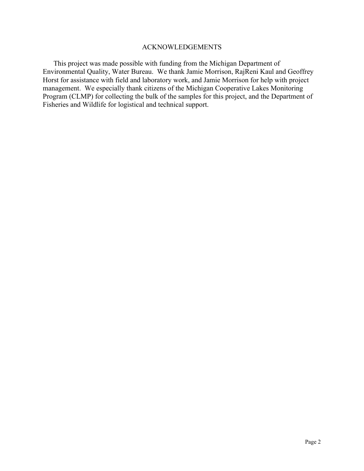#### ACKNOWLEDGEMENTS

This project was made possible with funding from the Michigan Department of Environmental Quality, Water Bureau. We thank Jamie Morrison, RajReni Kaul and Geoffrey Horst for assistance with field and laboratory work, and Jamie Morrison for help with project management. We especially thank citizens of the Michigan Cooperative Lakes Monitoring Program (CLMP) for collecting the bulk of the samples for this project, and the Department of Fisheries and Wildlife for logistical and technical support.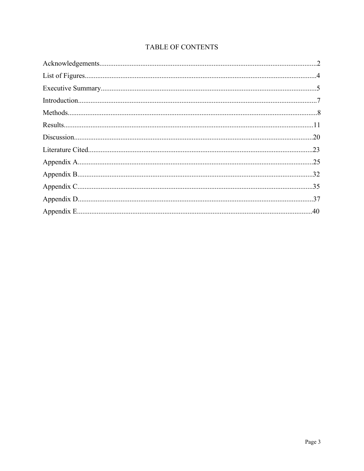## TABLE OF CONTENTS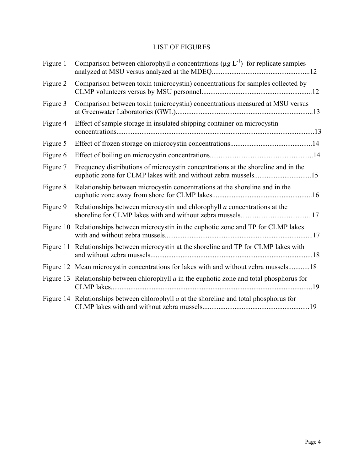## LIST OF FIGURES

| Figure 1 | Comparison between chlorophyll <i>a</i> concentrations ( $\mu$ g L <sup>-1</sup> ) for replicate samples |  |
|----------|----------------------------------------------------------------------------------------------------------|--|
| Figure 2 | Comparison between toxin (microcystin) concentrations for samples collected by                           |  |
| Figure 3 | Comparison between toxin (microcystin) concentrations measured at MSU versus                             |  |
| Figure 4 | Effect of sample storage in insulated shipping container on microcystin                                  |  |
| Figure 5 |                                                                                                          |  |
| Figure 6 |                                                                                                          |  |
| Figure 7 | Frequency distributions of microcystin concentrations at the shoreline and in the                        |  |
| Figure 8 | Relationship between microcystin concentrations at the shoreline and in the                              |  |
| Figure 9 | Relationships between microcystin and chlorophyll $a$ concentrations at the                              |  |
|          | Figure 10 Relationships between microcystin in the euphotic zone and TP for CLMP lakes                   |  |
|          | Figure 11 Relationships between microcystin at the shoreline and TP for CLMP lakes with                  |  |
|          | Figure 12 Mean microcystin concentrations for lakes with and without zebra mussels18                     |  |
|          | Figure 13 Relationship between chlorophyll $a$ in the euphotic zone and total phosphorus for             |  |
|          | Figure 14 Relationships between chlorophyll $a$ at the shoreline and total phosphorus for                |  |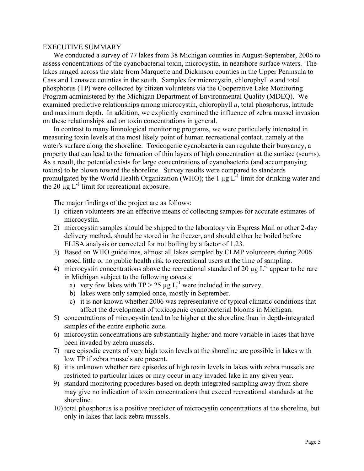#### EXECUTIVE SUMMARY

We conducted a survey of 77 lakes from 38 Michigan counties in August-September, 2006 to assess concentrations of the cyanobacterial toxin, microcystin, in nearshore surface waters. The lakes ranged across the state from Marquette and Dickinson counties in the Upper Peninsula to Cass and Lenawee counties in the south. Samples for microcystin, chlorophyll *a* and total phosphorus (TP) were collected by citizen volunteers via the Cooperative Lake Monitoring Program administered by the Michigan Department of Environmental Quality (MDEQ). We examined predictive relationships among microcystin, chlorophyll *a*, total phosphorus, latitude and maximum depth. In addition, we explicitly examined the influence of zebra mussel invasion on these relationships and on toxin concentrations in general.

In contrast to many limnological monitoring programs, we were particularly interested in measuring toxin levels at the most likely point of human recreational contact, namely at the water's surface along the shoreline. Toxicogenic cyanobacteria can regulate their buoyancy, a property that can lead to the formation of thin layers of high concentration at the surface (scums). As a result, the potential exists for large concentrations of cyanobacteria (and accompanying toxins) to be blown toward the shoreline. Survey results were compared to standards promulgated by the World Health Organization (WHO); the 1  $\mu$ g L<sup>-1</sup> limit for drinking water and the 20  $\mu$ g L<sup>-1</sup> limit for recreational exposure.

The major findings of the project are as follows:

- 1) citizen volunteers are an effective means of collecting samples for accurate estimates of microcystin.
- 2) microcystin samples should be shipped to the laboratory via Express Mail or other 2-day delivery method, should be stored in the freezer, and should either be boiled before ELISA analysis or corrected for not boiling by a factor of 1.23.
- 3) Based on WHO guidelines, almost all lakes sampled by CLMP volunteers during 2006 posed little or no public health risk to recreational users at the time of sampling.
- 4) microcystin concentrations above the recreational standard of 20  $\mu$ g L<sup>-1</sup> appear to be rare in Michigan subject to the following caveats:
	- a) very few lakes with  $TP > 25 \mu g L^{-1}$  were included in the survey.
	- b) lakes were only sampled once, mostly in September.
	- c) it is not known whether 2006 was representative of typical climatic conditions that affect the development of toxicogenic cyanobacterial blooms in Michigan.
- 5) concentrations of microcystin tend to be higher at the shoreline than in depth-integrated samples of the entire euphotic zone.
- 6) microcystin concentrations are substantially higher and more variable in lakes that have been invaded by zebra mussels.
- 7) rare episodic events of very high toxin levels at the shoreline are possible in lakes with low TP if zebra mussels are present.
- 8) it is unknown whether rare episodes of high toxin levels in lakes with zebra mussels are restricted to particular lakes or may occur in any invaded lake in any given year.
- 9) standard monitoring procedures based on depth-integrated sampling away from shore may give no indication of toxin concentrations that exceed recreational standards at the shoreline.
- 10) total phosphorus is a positive predictor of microcystin concentrations at the shoreline, but only in lakes that lack zebra mussels.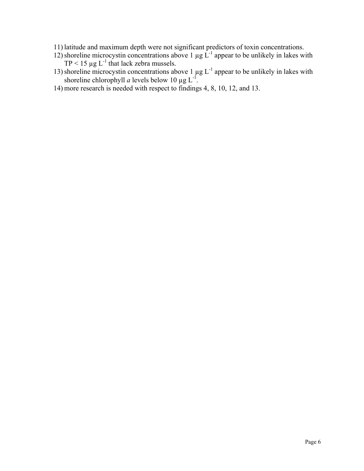- 11) latitude and maximum depth were not significant predictors of toxin concentrations.
- 12) shoreline microcystin concentrations above 1  $\mu$ g L<sup>-1</sup> appear to be unlikely in lakes with TP < 15  $\mu$ g L<sup>-1</sup> that lack zebra mussels.
- 13) shoreline microcystin concentrations above 1  $\mu$ g L<sup>-1</sup> appear to be unlikely in lakes with shoreline chlorophyll *a* levels below 10  $\mu$ g L<sup>-1</sup>.
- 14) more research is needed with respect to findings 4, 8, 10, 12, and 13.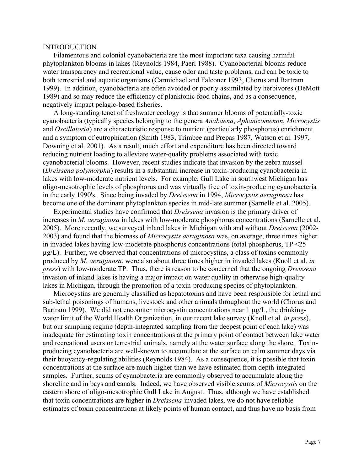#### INTRODUCTION

Filamentous and colonial cyanobacteria are the most important taxa causing harmful phytoplankton blooms in lakes (Reynolds 1984, Paerl 1988). Cyanobacterial blooms reduce water transparency and recreational value, cause odor and taste problems, and can be toxic to both terrestrial and aquatic organisms (Carmichael and Falconer 1993, Chorus and Bartram 1999). In addition, cyanobacteria are often avoided or poorly assimilated by herbivores (DeMott 1989) and so may reduce the efficiency of planktonic food chains, and as a consequence, negatively impact pelagic-based fisheries.

A long-standing tenet of freshwater ecology is that summer blooms of potentially-toxic cyanobacteria (typically species belonging to the genera *Anabaena*, *Aphanizomenon*, *Microcystis* and *Oscillatoria*) are a characteristic response to nutrient (particularly phosphorus) enrichment and a symptom of eutrophication (Smith 1983, Trimbee and Prepas 1987, Watson et al. 1997, Downing et al. 2001). As a result, much effort and expenditure has been directed toward reducing nutrient loading to alleviate water-quality problems associated with toxic cyanobacterial blooms. However, recent studies indicate that invasion by the zebra mussel (*Dreissena polymorpha*) results in a substantial increase in toxin-producing cyanobacteria in lakes with low-moderate nutrient levels. For example, Gull Lake in southwest Michigan has oligo-mesotrophic levels of phosphorus and was virtually free of toxin-producing cyanobacteria in the early 1990's. Since being invaded by *Dreissena* in 1994, *Microcystis aeruginosa* has become one of the dominant phytoplankton species in mid-late summer (Sarnelle et al. 2005).

Experimental studies have confirmed that *Dreissena* invasion is the primary driver of increases in *M. aeruginosa* in lakes with low-moderate phosphorus concentrations (Sarnelle et al. 2005). More recently, we surveyed inland lakes in Michigan with and without *Dreissena* (2002- 2003) and found that the biomass of *Microcystis aeruginosa* was, on average, three times higher in invaded lakes having low-moderate phosphorus concentrations (total phosphorus, TP <25 µg/L). Further, we observed that concentrations of microcystins, a class of toxins commonly produced by *M. aeruginosa*, were also about three times higher in invaded lakes (Knoll et al. *in press*) with low-moderate TP. Thus, there is reason to be concerned that the ongoing *Dreissena* invasion of inland lakes is having a major impact on water quality in otherwise high-quality lakes in Michigan, through the promotion of a toxin-producing species of phytoplankton.

Microcystins are generally classified as hepatotoxins and have been responsible for lethal and sub-lethal poisonings of humans, livestock and other animals throughout the world (Chorus and Bartram 1999). We did not encounter microcystin concentrations near  $1 \mu g/L$ , the drinkingwater limit of the World Health Organization, in our recent lake survey (Knoll et al. *in press*), but our sampling regime (depth-integrated sampling from the deepest point of each lake) was inadequate for estimating toxin concentrations at the primary point of contact between lake water and recreational users or terrestrial animals, namely at the water surface along the shore. Toxinproducing cyanobacteria are well-known to accumulate at the surface on calm summer days via their buoyancy-regulating abilities (Reynolds 1984). As a consequence, it is possible that toxin concentrations at the surface are much higher than we have estimated from depth-integrated samples. Further, scums of cyanobacteria are commonly observed to accumulate along the shoreline and in bays and canals. Indeed, we have observed visible scums of *Microcystis* on the eastern shore of oligo-mesotrophic Gull Lake in August. Thus, although we have established that toxin concentrations are higher in *Dreissena*-invaded lakes, we do not have reliable estimates of toxin concentrations at likely points of human contact, and thus have no basis from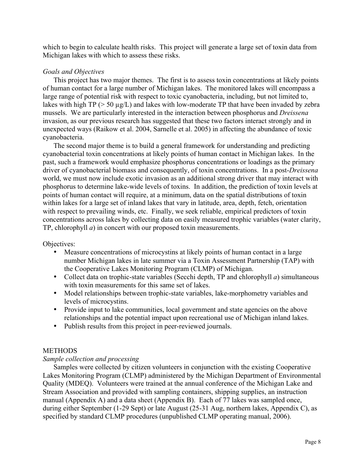which to begin to calculate health risks. This project will generate a large set of toxin data from Michigan lakes with which to assess these risks.

## *Goals and Objectives*

This project has two major themes. The first is to assess toxin concentrations at likely points of human contact for a large number of Michigan lakes. The monitored lakes will encompass a large range of potential risk with respect to toxic cyanobacteria, including, but not limited to, lakes with high  $TP$  ( $> 50 \mu g/L$ ) and lakes with low-moderate TP that have been invaded by zebra mussels. We are particularly interested in the interaction between phosphorus and *Dreissena* invasion, as our previous research has suggested that these two factors interact strongly and in unexpected ways (Raikow et al. 2004, Sarnelle et al. 2005) in affecting the abundance of toxic cyanobacteria.

The second major theme is to build a general framework for understanding and predicting cyanobacterial toxin concentrations at likely points of human contact in Michigan lakes. In the past, such a framework would emphasize phosphorus concentrations or loadings as the primary driver of cyanobacterial biomass and consequently, of toxin concentrations. In a post-*Dreissena* world, we must now include exotic invasion as an additional strong driver that may interact with phosphorus to determine lake-wide levels of toxins. In addition, the prediction of toxin levels at points of human contact will require, at a minimum, data on the spatial distributions of toxin within lakes for a large set of inland lakes that vary in latitude, area, depth, fetch, orientation with respect to prevailing winds, etc. Finally, we seek reliable, empirical predictors of toxin concentrations across lakes by collecting data on easily measured trophic variables (water clarity, TP, chlorophyll *a*) in concert with our proposed toxin measurements.

Objectives:

- Measure concentrations of microcystins at likely points of human contact in a large number Michigan lakes in late summer via a Toxin Assessment Partnership (TAP) with the Cooperative Lakes Monitoring Program (CLMP) of Michigan.
- Collect data on trophic-state variables (Secchi depth, TP and chlorophyll *a*) simultaneous with toxin measurements for this same set of lakes.
- Model relationships between trophic-state variables, lake-morphometry variables and levels of microcystins.
- Provide input to lake communities, local government and state agencies on the above relationships and the potential impact upon recreational use of Michigan inland lakes.
- Publish results from this project in peer-reviewed journals.

## **METHODS**

## *Sample collection and processing*

Samples were collected by citizen volunteers in conjunction with the existing Cooperative Lakes Monitoring Program (CLMP) administered by the Michigan Department of Environmental Quality (MDEQ). Volunteers were trained at the annual conference of the Michigan Lake and Stream Association and provided with sampling containers, shipping supplies, an instruction manual (Appendix A) and a data sheet (Appendix B). Each of 77 lakes was sampled once, during either September (1-29 Sept) or late August (25-31 Aug, northern lakes, Appendix C), as specified by standard CLMP procedures (unpublished CLMP operating manual, 2006).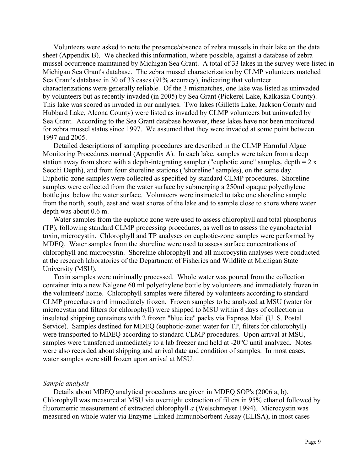Volunteers were asked to note the presence/absence of zebra mussels in their lake on the data sheet (Appendix B). We checked this information, where possible, against a database of zebra mussel occurrence maintained by Michigan Sea Grant. A total of 33 lakes in the survey were listed in Michigan Sea Grant's database. The zebra mussel characterization by CLMP volunteers matched Sea Grant's database in 30 of 33 cases (91% accuracy), indicating that volunteer characterizations were generally reliable. Of the 3 mismatches, one lake was listed as uninvaded by volunteers but as recently invaded (in 2005) by Sea Grant (Pickerel Lake, Kalkaska County). This lake was scored as invaded in our analyses. Two lakes (Gilletts Lake, Jackson County and Hubbard Lake, Alcona County) were listed as invaded by CLMP volunteers but uninvaded by Sea Grant. According to the Sea Grant database however, these lakes have not been monitored for zebra mussel status since 1997. We assumed that they were invaded at some point between 1997 and 2005.

Detailed descriptions of sampling procedures are described in the CLMP Harmful Algae Monitoring Procedures manual (Appendix A). In each lake, samples were taken from a deep station away from shore with a depth-integrating sampler ("euphotic zone" samples, depth  $= 2 x$ Secchi Depth), and from four shoreline stations ("shoreline" samples), on the same day. Euphotic-zone samples were collected as specified by standard CLMP procedures. Shoreline samples were collected from the water surface by submerging a 250ml opaque polyethylene bottle just below the water surface. Volunteers were instructed to take one shoreline sample from the north, south, east and west shores of the lake and to sample close to shore where water depth was about 0.6 m.

Water samples from the euphotic zone were used to assess chlorophyll and total phosphorus (TP), following standard CLMP processing procedures, as well as to assess the cyanobacterial toxin, microcystin. Chlorophyll and TP analyses on euphotic-zone samples were performed by MDEQ. Water samples from the shoreline were used to assess surface concentrations of chlorophyll and microcystin. Shoreline chlorophyll and all microcystin analyses were conducted at the research laboratories of the Department of Fisheries and Wildlife at Michigan State University (MSU).

Toxin samples were minimally processed. Whole water was poured from the collection container into a new Nalgene 60 ml polyethylene bottle by volunteers and immediately frozen in the volunteers' home. Chlorophyll samples were filtered by volunteers according to standard CLMP procedures and immediately frozen. Frozen samples to be analyzed at MSU (water for microcystin and filters for chlorophyll) were shipped to MSU within 8 days of collection in insulated shipping containers with 2 frozen "blue ice" packs via Express Mail (U. S. Postal Service). Samples destined for MDEQ (euphotic-zone: water for TP, filters for chlorophyll) were transported to MDEQ according to standard CLMP procedures. Upon arrival at MSU, samples were transferred immediately to a lab freezer and held at -20°C until analyzed. Notes were also recorded about shipping and arrival date and condition of samples. In most cases, water samples were still frozen upon arrival at MSU.

#### *Sample analysis*

Details about MDEQ analytical procedures are given in MDEQ SOP's (2006 a, b). Chlorophyll was measured at MSU via overnight extraction of filters in 95% ethanol followed by fluorometric measurement of extracted chlorophyll *a* (Welschmeyer 1994). Microcystin was measured on whole water via Enzyme-Linked ImmunoSorbent Assay (ELISA), in most cases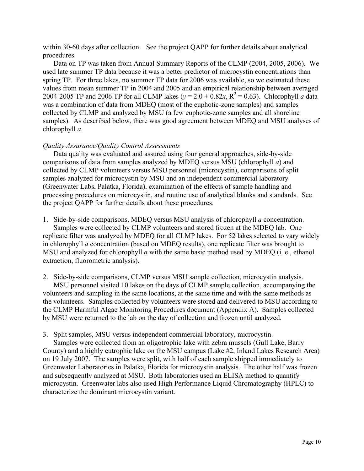within 30-60 days after collection. See the project QAPP for further details about analytical procedures.

Data on TP was taken from Annual Summary Reports of the CLMP (2004, 2005, 2006). We used late summer TP data because it was a better predictor of microcystin concentrations than spring TP. For three lakes, no summer TP data for 2006 was available, so we estimated these values from mean summer TP in 2004 and 2005 and an empirical relationship between averaged 2004-2005 TP and 2006 TP for all CLMP lakes ( $y = 2.0 + 0.82x$ ,  $R^2 = 0.63$ ). Chlorophyll *a* data was a combination of data from MDEQ (most of the euphotic-zone samples) and samples collected by CLMP and analyzed by MSU (a few euphotic-zone samples and all shoreline samples). As described below, there was good agreement between MDEQ and MSU analyses of chlorophyll *a*.

#### *Quality Assurance/Quality Control Assessments*

Data quality was evaluated and assured using four general approaches, side-by-side comparisons of data from samples analyzed by MDEQ versus MSU (chlorophyll *a*) and collected by CLMP volunteers versus MSU personnel (microcystin), comparisons of split samples analyzed for microcystin by MSU and an independent commercial laboratory (Greenwater Labs, Palatka, Florida), examination of the effects of sample handling and processing procedures on microcystin, and routine use of analytical blanks and standards. See the project QAPP for further details about these procedures.

1. Side-by-side comparisons, MDEQ versus MSU analysis of chlorophyll *a* concentration. Samples were collected by CLMP volunteers and stored frozen at the MDEQ lab. One replicate filter was analyzed by MDEQ for all CLMP lakes. For 52 lakes selected to vary widely in chlorophyll *a* concentration (based on MDEQ results), one replicate filter was brought to MSU and analyzed for chlorophyll *a* with the same basic method used by MDEQ (i. e., ethanol extraction, fluorometric analysis).

2. Side-by-side comparisons, CLMP versus MSU sample collection, microcystin analysis.

MSU personnel visited 10 lakes on the days of CLMP sample collection, accompanying the volunteers and sampling in the same locations, at the same time and with the same methods as the volunteers. Samples collected by volunteers were stored and delivered to MSU according to the CLMP Harmful Algae Monitoring Procedures document (Appendix A). Samples collected by MSU were returned to the lab on the day of collection and frozen until analyzed.

3. Split samples, MSU versus independent commercial laboratory, microcystin.

Samples were collected from an oligotrophic lake with zebra mussels (Gull Lake, Barry County) and a highly eutrophic lake on the MSU campus (Lake #2, Inland Lakes Research Area) on 19 July 2007. The samples were split, with half of each sample shipped immediately to Greenwater Laboratories in Palatka, Florida for microcystin analysis. The other half was frozen and subsequently analyzed at MSU. Both laboratories used an ELISA method to quantify microcystin. Greenwater labs also used High Performance Liquid Chromatography (HPLC) to characterize the dominant microcystin variant.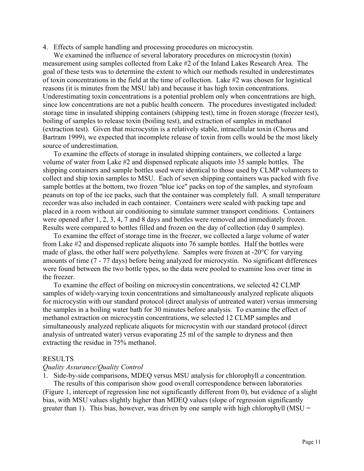4. Effects of sample handling and processing procedures on microcystin.

We examined the influence of several laboratory procedures on microcystin (toxin) measurement using samples collected from Lake #2 of the Inland Lakes Research Area. The goal of these tests was to determine the extent to which our methods resulted in underestimates of toxin concentrations in the field at the time of collection. Lake  $#2$  was chosen for logistical reasons (it is minutes from the MSU lab) and because it has high toxin concentrations. Underestimating toxin concentrations is a potential problem only when concentrations are high, since low concentrations are not a public health concern. The procedures investigated included: storage time in insulated shipping containers (shipping test), time in frozen storage (freezer test), boiling of samples to release toxin (boiling test), and extraction of samples in methanol (extraction test). Given that microcystin is a relatively stable, intracellular toxin (Chorus and Bartram 1999), we expected that incomplete release of toxin from cells would be the most likely source of underestimation.

To examine the effects of storage in insulated shipping containers, we collected a large volume of water from Lake #2 and dispensed replicate aliquots into 35 sample bottles. The shipping containers and sample bottles used were identical to those used by CLMP volunteers to collect and ship toxin samples to MSU. Each of seven shipping containers was packed with five sample bottles at the bottom, two frozen "blue ice" packs on top of the samples, and styrofoam peanuts on top of the ice packs, such that the container was completely full. A small temperature recorder was also included in each container. Containers were sealed with packing tape and placed in a room without air conditioning to simulate summer transport conditions. Containers were opened after 1, 2, 3, 4, 7 and 8 days and bottles were removed and immediately frozen. Results were compared to bottles filled and frozen on the day of collection (day 0 samples).

To examine the effect of storage time in the freezer, we collected a large volume of water from Lake #2 and dispensed replicate aliquots into 76 sample bottles. Half the bottles were made of glass, the other half were polyethylene. Samples were frozen at -20°C for varying amounts of time (7 - 77 days) before being analyzed for microcystin. No significant differences were found between the two bottle types, so the data were pooled to examine loss over time in the freezer.

To examine the effect of boiling on microcystin concentrations, we selected 42 CLMP samples of widely-varying toxin concentrations and simultaneously analyzed replicate aliquots for microcystin with our standard protocol (direct analysis of untreated water) versus immersing the samples in a boiling water bath for 30 minutes before analysis. To examine the effect of methanol extraction on microcystin concentrations, we selected 12 CLMP samples and simultaneously analyzed replicate aliquots for microcystin with our standard protocol (direct analysis of untreated water) versus evaporating 25 ml of the sample to dryness and then extracting the residue in 75% methanol.

#### RESULTS

#### *Quality Assurance/Quality Control*

1. Side-by-side comparisons, MDEQ versus MSU analysis for chlorophyll *a* concentration. The results of this comparison show good overall correspondence between laboratories (Figure 1, intercept of regression line not significantly different from 0), but evidence of a slight bias, with MSU values slightly higher than MDEQ values (slope of regression significantly greater than 1). This bias, however, was driven by one sample with high chlorophyll ( $MSU =$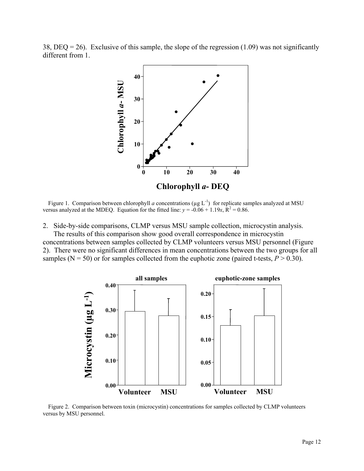38, DEQ = 26). Exclusive of this sample, the slope of the regression (1.09) was not significantly different from 1.



Figure 1. Comparison between chlorophyll *a* concentrations ( $\mu$ g L<sup>-1</sup>) for replicate samples analyzed at MSU versus analyzed at the MDEQ. Equation for the fitted line:  $y = -0.06 + 1.19x$ ,  $R^2 = 0.86$ .

2. Side-by-side comparisons, CLMP versus MSU sample collection, microcystin analysis.

The results of this comparison show good overall correspondence in microcystin concentrations between samples collected by CLMP volunteers versus MSU personnel (Figure 2). There were no significant differences in mean concentrations between the two groups for all samples ( $N = 50$ ) or for samples collected from the euphotic zone (paired t-tests,  $P > 0.30$ ).



Figure 2. Comparison between toxin (microcystin) concentrations for samples collected by CLMP volunteers versus by MSU personnel.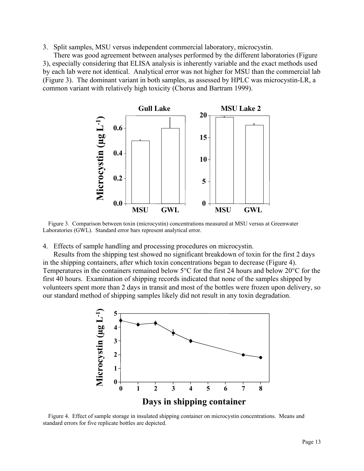3. Split samples, MSU versus independent commercial laboratory, microcystin.

There was good agreement between analyses performed by the different laboratories (Figure 3), especially considering that ELISA analysis is inherently variable and the exact methods used by each lab were not identical. Analytical error was not higher for MSU than the commercial lab (Figure 3). The dominant variant in both samples, as assessed by HPLC was microcystin-LR, a common variant with relatively high toxicity (Chorus and Bartram 1999).



Figure 3. Comparison between toxin (microcystin) concentrations measured at MSU versus at Greenwater Laboratories (GWL). Standard error bars represent analytical error.

4. Effects of sample handling and processing procedures on microcystin.

Results from the shipping test showed no significant breakdown of toxin for the first 2 days in the shipping containers, after which toxin concentrations began to decrease (Figure 4). Temperatures in the containers remained below 5°C for the first 24 hours and below 20°C for the first 40 hours. Examination of shipping records indicated that none of the samples shipped by volunteers spent more than 2 days in transit and most of the bottles were frozen upon delivery, so our standard method of shipping samples likely did not result in any toxin degradation.



Figure 4. Effect of sample storage in insulated shipping container on microcystin concentrations. Means and standard errors for five replicate bottles are depicted.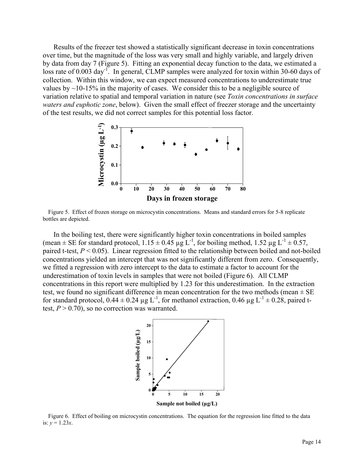Results of the freezer test showed a statistically significant decrease in toxin concentrations over time, but the magnitude of the loss was very small and highly variable, and largely driven by data from day 7 (Figure 5). Fitting an exponential decay function to the data, we estimated a loss rate of 0.003 day<sup>-1</sup>. In general, CLMP samples were analyzed for toxin within 30-60 days of collection. Within this window, we can expect measured concentrations to underestimate true values by  $\sim$ 10-15% in the majority of cases. We consider this to be a negligible source of variation relative to spatial and temporal variation in nature (see *Toxin concentrations in surface waters and euphotic zone*, below). Given the small effect of freezer storage and the uncertainty of the test results, we did not correct samples for this potential loss factor.



Figure 5. Effect of frozen storage on microcystin concentrations. Means and standard errors for 5-8 replicate bottles are depicted.

In the boiling test, there were significantly higher toxin concentrations in boiled samples (mean  $\pm$  SE for standard protocol, 1.15  $\pm$  0.45 µg L<sup>-1</sup>, for boiling method, 1.52 µg L<sup>-1</sup>  $\pm$  0.57, paired t-test, *P* < 0.05). Linear regression fitted to the relationship between boiled and not-boiled concentrations yielded an intercept that was not significantly different from zero. Consequently, we fitted a regression with zero intercept to the data to estimate a factor to account for the underestimation of toxin levels in samples that were not boiled (Figure 6). All CLMP concentrations in this report were multiplied by 1.23 for this underestimation. In the extraction test, we found no significant difference in mean concentration for the two methods (mean  $\pm$  SE for standard protocol,  $0.44 \pm 0.24 \mu g L^{-1}$ , for methanol extraction,  $0.46 \mu g L^{-1} \pm 0.28$ , paired ttest,  $P > 0.70$ ), so no correction was warranted.



Figure 6. Effect of boiling on microcystin concentrations. The equation for the regression line fitted to the data is:  $y = 1.23x$ .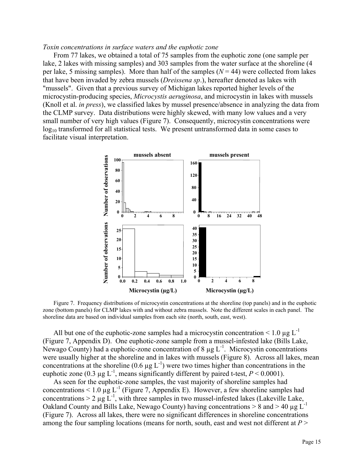#### *Toxin concentrations in surface waters and the euphotic zone*

From 77 lakes, we obtained a total of 75 samples from the euphotic zone (one sample per lake, 2 lakes with missing samples) and 303 samples from the water surface at the shoreline (4 per lake, 5 missing samples). More than half of the samples  $(N = 44)$  were collected from lakes that have been invaded by zebra mussels (*Dreissena sp*.), hereafter denoted as lakes with "mussels". Given that a previous survey of Michigan lakes reported higher levels of the microcystin-producing species, *Microcystis aeruginosa*, and microcystin in lakes with mussels (Knoll et al. *in press*), we classified lakes by mussel presence/absence in analyzing the data from the CLMP survey. Data distributions were highly skewed, with many low values and a very small number of very high values (Figure 7). Consequently, microcystin concentrations were  $log_{10}$  transformed for all statistical tests. We present untransformed data in some cases to facilitate visual interpretation.



Figure 7. Frequency distributions of microcystin concentrations at the shoreline (top panels) and in the euphotic zone (bottom panels) for CLMP lakes with and without zebra mussels. Note the different scales in each panel. The shoreline data are based on individual samples from each site (north, south, east, west).

All but one of the euphotic-zone samples had a microcystin concentration  $\leq 1.0 \mu g L^{-1}$ (Figure 7, Appendix D). One euphotic-zone sample from a mussel-infested lake (Bills Lake, Newago County) had a euphotic-zone concentration of 8  $\mu$ g L<sup>-1</sup>. Microcystin concentrations were usually higher at the shoreline and in lakes with mussels (Figure 8). Across all lakes, mean concentrations at the shoreline  $(0.6 \mu g L^{-1})$  were two times higher than concentrations in the euphotic zone (0.3  $\mu$ g L<sup>-1</sup>, means significantly different by paired t-test, *P* < 0.0001).

As seen for the euphotic-zone samples, the vast majority of shoreline samples had concentrations < 1.0  $\mu$ g L<sup>-1</sup> (Figure 7, Appendix E). However, a few shoreline samples had concentrations  $> 2 \mu g L^{-1}$ , with three samples in two mussel-infested lakes (Lakeville Lake, Oakland County and Bills Lake, Newago County) having concentrations  $> 8$  and  $> 40 \mu g L^{-1}$ (Figure 7). Across all lakes, there were no significant differences in shoreline concentrations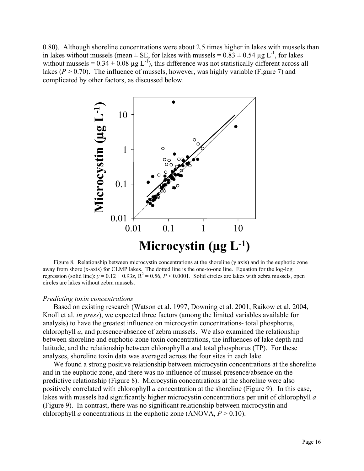0.80). Although shoreline concentrations were about 2.5 times higher in lakes with mussels than in lakes without mussels (mean  $\pm$  SE, for lakes with mussels =  $0.83 \pm 0.54$  µg L<sup>-1</sup>, for lakes without mussels =  $0.34 \pm 0.08$  µg L<sup>-1</sup>), this difference was not statistically different across all lakes ( $P > 0.70$ ). The influence of mussels, however, was highly variable (Figure 7) and complicated by other factors, as discussed below.



Figure 8. Relationship between microcystin concentrations at the shoreline (y axis) and in the euphotic zone away from shore (x-axis) for CLMP lakes. The dotted line is the one-to-one line. Equation for the log-log regression (solid line):  $y = 0.12 + 0.93x$ ,  $R^2 = 0.56$ ,  $P < 0.0001$ . Solid circles are lakes with zebra mussels, open circles are lakes without zebra mussels.

#### *Predicting toxin concentrations*

Based on existing research (Watson et al. 1997, Downing et al. 2001, Raikow et al. 2004, Knoll et al. *in press*), we expected three factors (among the limited variables available for analysis) to have the greatest influence on microcystin concentrations- total phosphorus, chlorophyll *a*, and presence/absence of zebra mussels. We also examined the relationship between shoreline and euphotic-zone toxin concentrations, the influences of lake depth and latitude, and the relationship between chlorophyll *a* and total phosphorus (TP). For these analyses, shoreline toxin data was averaged across the four sites in each lake.

We found a strong positive relationship between microcystin concentrations at the shoreline and in the euphotic zone, and there was no influence of mussel presence/absence on the predictive relationship (Figure 8). Microcystin concentrations at the shoreline were also positively correlated with chlorophyll *a* concentration at the shoreline (Figure 9). In this case, lakes with mussels had significantly higher microcystin concentrations per unit of chlorophyll *a* (Figure 9). In contrast, there was no significant relationship between microcystin and chlorophyll *a* concentrations in the euphotic zone (ANOVA,  $P > 0.10$ ).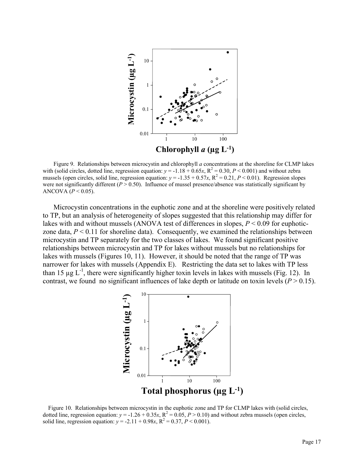

Figure 9. Relationships between microcystin and chlorophyll *a* concentrations at the shoreline for CLMP lakes with (solid circles, dotted line, regression equation:  $y = -1.18 + 0.65x$ ,  $R^2 = 0.30$ ,  $P < 0.001$ ) and without zebra mussels (open circles, solid line, regression equation:  $y = -1.35 + 0.57x$ ,  $R^2 = 0.21$ ,  $P < 0.01$ ). Regression slopes were not significantly different ( $P > 0.50$ ). Influence of mussel presence/absence was statistically significant by ANCOVA  $(P < 0.05)$ .

Microcystin concentrations in the euphotic zone and at the shoreline were positively related to TP, but an analysis of heterogeneity of slopes suggested that this relationship may differ for lakes with and without mussels (ANOVA test of differences in slopes,  $P < 0.09$  for euphoticzone data,  $P \leq 0.11$  for shoreline data). Consequently, we examined the relationships between microcystin and TP separately for the two classes of lakes. We found significant positive relationships between microcystin and TP for lakes without mussels but no relationships for lakes with mussels (Figures 10, 11). However, it should be noted that the range of TP was narrower for lakes with mussels (Appendix E). Restricting the data set to lakes with TP less than 15  $\mu$ g L<sup>-1</sup>, there were significantly higher toxin levels in lakes with mussels (Fig. 12). In contrast, we found no significant influences of lake depth or latitude on toxin levels ( $P > 0.15$ ).



Figure 10. Relationships between microcystin in the euphotic zone and TP for CLMP lakes with (solid circles, dotted line, regression equation:  $y = -1.26 + 0.35x$ ,  $R^2 = 0.05$ ,  $P > 0.10$ ) and without zebra mussels (open circles, solid line, regression equation:  $y = -2.11 + 0.98x$ ,  $R^2 = 0.37$ ,  $P < 0.001$ ).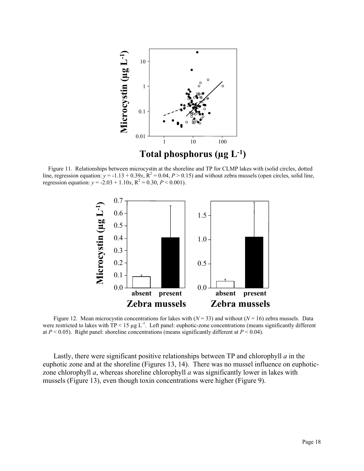

Figure 11. Relationships between microcystin at the shoreline and TP for CLMP lakes with (solid circles, dotted line, regression equation:  $y = -1.13 + 0.39x$ ,  $R^2 = 0.04$ ,  $P > 0.15$ ) and without zebra mussels (open circles, solid line, regression equation:  $y = -2.03 + 1.10x$ ,  $R^2 = 0.30$ ,  $P < 0.001$ ).



Figure 12. Mean microcystin concentrations for lakes with  $(N = 33)$  and without  $(N = 16)$  zebra mussels. Data were restricted to lakes with  $TP < 15 \mu g L^{-1}$ . Left panel: euphotic-zone concentrations (means significantly different at  $P < 0.05$ ). Right panel: shoreline concentrations (means significantly different at  $P < 0.04$ ).

Lastly, there were significant positive relationships between TP and chlorophyll *a* in the euphotic zone and at the shoreline (Figures 13, 14). There was no mussel influence on euphoticzone chlorophyll *a*, whereas shoreline chlorophyll *a* was significantly lower in lakes with mussels (Figure 13), even though toxin concentrations were higher (Figure 9).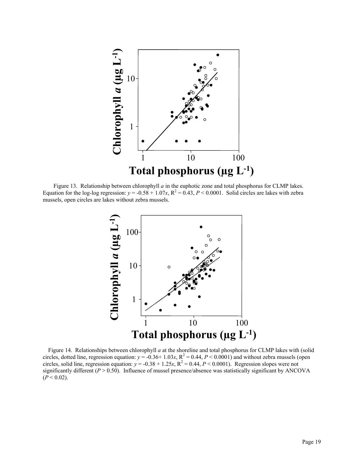

Figure 13. Relationship between chlorophyll *a* in the euphotic zone and total phosphorus for CLMP lakes. Equation for the log-log regression:  $y = -0.58 + 1.07x$ ,  $R^2 = 0.43$ ,  $P < 0.0001$ . Solid circles are lakes with zebra mussels, open circles are lakes without zebra mussels.



Figure 14. Relationships between chlorophyll *a* at the shoreline and total phosphorus for CLMP lakes with (solid circles, dotted line, regression equation:  $y = -0.36 + 1.03x$ ,  $R^2 = 0.44$ ,  $P < 0.0001$ ) and without zebra mussels (open circles, solid line, regression equation:  $y = -0.38 + 1.25x$ ,  $R^2 = 0.44$ ,  $P < 0.0001$ ). Regression slopes were not significantly different  $(P > 0.50)$ . Influence of mussel presence/absence was statistically significant by ANCOVA  $(P < 0.02)$ .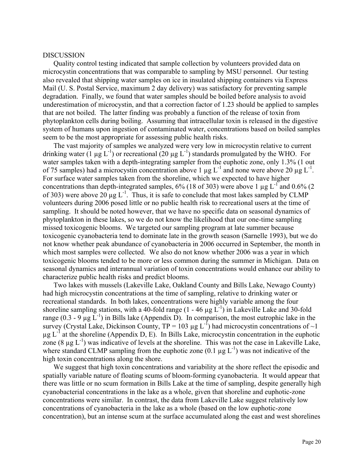#### DISCUSSION

Quality control testing indicated that sample collection by volunteers provided data on microcystin concentrations that was comparable to sampling by MSU personnel. Our testing also revealed that shipping water samples on ice in insulated shipping containers via Express Mail (U. S. Postal Service, maximum 2 day delivery) was satisfactory for preventing sample degradation. Finally, we found that water samples should be boiled before analysis to avoid underestimation of microcystin, and that a correction factor of 1.23 should be applied to samples that are not boiled. The latter finding was probably a function of the release of toxin from phytoplankton cells during boiling. Assuming that intracellular toxin is released in the digestive system of humans upon ingestion of contaminated water, concentrations based on boiled samples seem to be the most appropriate for assessing public health risks.

The vast majority of samples we analyzed were very low in microcystin relative to current drinking water (1  $\mu$ g L<sup>-1</sup>) or recreational (20  $\mu$ g L<sup>-1</sup>) standards promulgated by the WHO. For water samples taken with a depth-integrating sampler from the euphotic zone, only 1.3% (1 out of 75 samples) had a microcystin concentration above 1  $\mu$ g L<sup>-1</sup> and none were above 20  $\mu$ g L<sup>-1</sup>. For surface water samples taken from the shoreline, which we expected to have higher concentrations than depth-integrated samples,  $6\%$  (18 of 303) were above 1 µg L<sup>-1</sup> and 0.6% (2) of 303) were above 20  $\mu$ g L<sup>-1</sup>. Thus, it is safe to conclude that most lakes sampled by CLMP volunteers during 2006 posed little or no public health risk to recreational users at the time of sampling. It should be noted however, that we have no specific data on seasonal dynamics of phytoplankton in these lakes, so we do not know the likelihood that our one-time sampling missed toxicogenic blooms. We targeted our sampling program at late summer because toxicogenic cyanobacteria tend to dominate late in the growth season (Sarnelle 1993), but we do not know whether peak abundance of cyanobacteria in 2006 occurred in September, the month in which most samples were collected. We also do not know whether 2006 was a year in which toxicogenic blooms tended to be more or less common during the summer in Michigan. Data on seasonal dynamics and interannual variation of toxin concentrations would enhance our ability to characterize public health risks and predict blooms.

Two lakes with mussels (Lakeville Lake, Oakland County and Bills Lake, Newago County) had high microcystin concentrations at the time of sampling, relative to drinking water or recreational standards. In both lakes, concentrations were highly variable among the four shoreline sampling stations, with a 40-fold range  $(1 - 46 \mu g \tilde{L}^{-1})$  in Lakeville Lake and 30-fold range  $(0.3 - 9 \mu g L^{-1})$  in Bills lake (Appendix D). In comparison, the most eutrophic lake in the survey (Crystal Lake, Dickinson County,  $TP = 103 \mu g L^{-1}$ ) had microcystin concentrations of  $\sim$ 1  $\mu$ g L<sup>-1</sup> at the shoreline (Appendix D, E). In Bills Lake, microcystin concentration in the euphotic zone  $(8 \mu g L^{-1})$  was indicative of levels at the shoreline. This was not the case in Lakeville Lake, where standard CLMP sampling from the euphotic zone  $(0.1 \mu g L^{-1})$  was not indicative of the high toxin concentrations along the shore.

We suggest that high toxin concentrations and variability at the shore reflect the episodic and spatially variable nature of floating scums of bloom-forming cyanobacteria. It would appear that there was little or no scum formation in Bills Lake at the time of sampling, despite generally high cyanobacterial concentrations in the lake as a whole, given that shoreline and euphotic-zone concentrations were similar. In contrast, the data from Lakeville Lake suggest relatively low concentrations of cyanobacteria in the lake as a whole (based on the low euphotic-zone concentration), but an intense scum at the surface accumulated along the east and west shorelines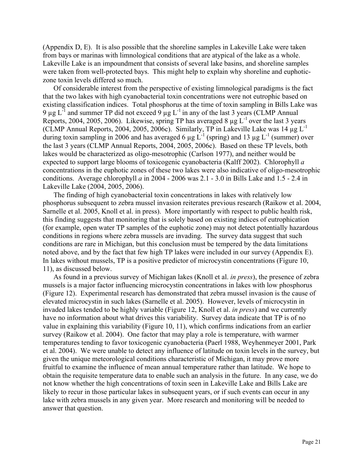(Appendix D, E). It is also possible that the shoreline samples in Lakeville Lake were taken from bays or marinas with limnological conditions that are atypical of the lake as a whole. Lakeville Lake is an impoundment that consists of several lake basins, and shoreline samples were taken from well-protected bays. This might help to explain why shoreline and euphoticzone toxin levels differed so much.

Of considerable interest from the perspective of existing limnological paradigms is the fact that the two lakes with high cyanobacterial toxin concentrations were not eutrophic based on existing classification indices. Total phosphorus at the time of toxin sampling in Bills Lake was 9  $\mu$ g L<sup>-1</sup> and summer TP did not exceed 9  $\mu$ g L<sup>-1</sup> in any of the last 3 years (CLMP Annual Reports, 2004, 2005, 2006). Likewise, spring TP has averaged 8  $\mu$ g L<sup>-1</sup> over the last 3 years (CLMP Annual Reports, 2004, 2005, 2006c). Similarly, TP in Lakeville Lake was 14  $\mu$ g L<sup>-1</sup> during toxin sampling in 2006 and has averaged 6  $\mu$ g L<sup>-1</sup> (spring) and 13  $\mu$ g L<sup>-1</sup> (summer) over the last 3 years (CLMP Annual Reports, 2004, 2005, 2006c). Based on these TP levels, both lakes would be characterized as oligo-mesotrophic (Carlson 1977), and neither would be expected to support large blooms of toxicogenic cyanobacteria (Kalff 2002). Chlorophyll *a* concentrations in the euphotic zones of these two lakes were also indicative of oligo-mesotrophic conditions. Average chlorophyll *a* in 2004 - 2006 was 2.1 - 3.0 in Bills Lake and 1.5 - 2.4 in Lakeville Lake (2004, 2005, 2006).

The finding of high cyanobacterial toxin concentrations in lakes with relatively low phosphorus subsequent to zebra mussel invasion reiterates previous research (Raikow et al. 2004, Sarnelle et al. 2005, Knoll et al. in press). More importantly with respect to public health risk, this finding suggests that monitoring that is solely based on existing indices of eutrophication (for example, open water TP samples of the euphotic zone) may not detect potentially hazardous conditions in regions where zebra mussels are invading. The survey data suggest that such conditions are rare in Michigan, but this conclusion must be tempered by the data limitations noted above, and by the fact that few high TP lakes were included in our survey (Appendix E). In lakes without mussels, TP is a positive predictor of microcystin concentrations (Figure 10, 11), as discussed below.

As found in a previous survey of Michigan lakes (Knoll et al. *in press*), the presence of zebra mussels is a major factor influencing microcystin concentrations in lakes with low phosphorus (Figure 12). Experimental research has demonstrated that zebra mussel invasion is the cause of elevated microcystin in such lakes (Sarnelle et al. 2005). However, levels of microcystin in invaded lakes tended to be highly variable (Figure 12, Knoll et al. *in press*) and we currently have no information about what drives this variability. Survey data indicate that TP is of no value in explaining this variability (Figure 10, 11), which confirms indications from an earlier survey (Raikow et al. 2004). One factor that may play a role is temperature, with warmer temperatures tending to favor toxicogenic cyanobacteria (Paerl 1988, Weyhenmeyer 2001, Park et al. 2004). We were unable to detect any influence of latitude on toxin levels in the survey, but given the unique meteorological conditions characteristic of Michigan, it may prove more fruitful to examine the influence of mean annual temperature rather than latitude. We hope to obtain the requisite temperature data to enable such an analysis in the future. In any case, we do not know whether the high concentrations of toxin seen in Lakeville Lake and Bills Lake are likely to recur in those particular lakes in subsequent years, or if such events can occur in any lake with zebra mussels in any given year. More research and monitoring will be needed to answer that question.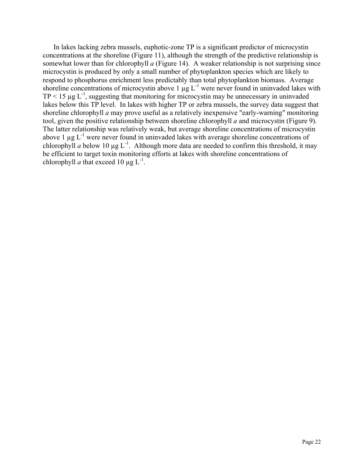In lakes lacking zebra mussels, euphotic-zone TP is a significant predictor of microcystin concentrations at the shoreline (Figure 11), although the strength of the predictive relationship is somewhat lower than for chlorophyll *a* (Figure 14). A weaker relationship is not surprising since microcystin is produced by only a small number of phytoplankton species which are likely to respond to phosphorus enrichment less predictably than total phytoplankton biomass. Average shoreline concentrations of microcystin above 1  $\mu$ g L<sup>-1</sup> were never found in uninvaded lakes with  $TP < 15 \mu g L^{-1}$ , suggesting that monitoring for microcystin may be unnecessary in uninvaded lakes below this TP level. In lakes with higher TP or zebra mussels, the survey data suggest that shoreline chlorophyll *a* may prove useful as a relatively inexpensive "early-warning" monitoring tool, given the positive relationship between shoreline chlorophyll *a* and microcystin (Figure 9). The latter relationship was relatively weak, but average shoreline concentrations of microcystin above 1  $\mu$ g L<sup>-1</sup> were never found in uninvaded lakes with average shoreline concentrations of chlorophyll *a* below 10  $\mu$ g L<sup>-1</sup>. Although more data are needed to confirm this threshold, it may be efficient to target toxin monitoring efforts at lakes with shoreline concentrations of chlorophyll *a* that exceed 10  $\mu$ g L<sup>-1</sup>.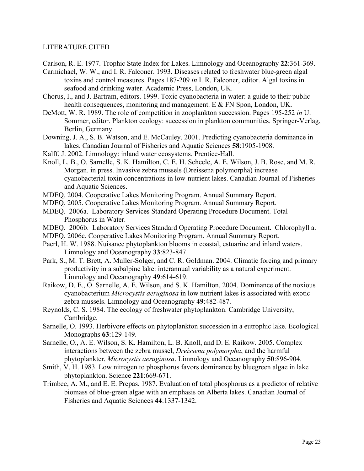## LITERATURE CITED

- Carlson, R. E. 1977. Trophic State Index for Lakes. Limnology and Oceanography **22**:361-369.
- Carmichael, W. W., and I. R. Falconer. 1993. Diseases related to freshwater blue-green algal toxins and control measures. Pages 187-209 *in* I. R. Falconer, editor. Algal toxins in seafood and drinking water. Academic Press, London, UK.
- Chorus, I., and J. Bartram, editors. 1999. Toxic cyanobacteria in water: a guide to their public health consequences, monitoring and management. E & FN Spon, London, UK.
- DeMott, W. R. 1989. The role of competition in zooplankton succession. Pages 195-252 *in* U. Sommer, editor. Plankton ecology: succession in plankton communities. Springer-Verlag, Berlin, Germany.
- Downing, J. A., S. B. Watson, and E. McCauley. 2001. Predicting cyanobacteria dominance in lakes. Canadian Journal of Fisheries and Aquatic Sciences **58**:1905-1908.
- Kalff, J. 2002. Limnology: inland water ecosystems. Prentice-Hall.
- Knoll, L. B., O. Sarnelle, S. K. Hamilton, C. E. H. Scheele, A. E. Wilson, J. B. Rose, and M. R. Morgan. in press. Invasive zebra mussels (Dreissena polymorpha) increase cyanobacterial toxin concentrations in low-nutrient lakes. Canadian Journal of Fisheries and Aquatic Sciences.
- MDEQ. 2004. Cooperative Lakes Monitoring Program. Annual Summary Report.
- MDEQ. 2005. Cooperative Lakes Monitoring Program. Annual Summary Report.
- MDEQ. 2006a. Laboratory Services Standard Operating Procedure Document. Total Phosphorus in Water.
- MDEQ. 2006b. Laboratory Services Standard Operating Procedure Document. Chlorophyll a.
- MDEQ. 2006c. Cooperative Lakes Monitoring Program. Annual Summary Report.
- Paerl, H. W. 1988. Nuisance phytoplankton blooms in coastal, estuarine and inland waters. Limnology and Oceanography **33**:823-847.
- Park, S., M. T. Brett, A. Muller-Solger, and C. R. Goldman. 2004. Climatic forcing and primary productivity in a subalpine lake: interannual variability as a natural experiment. Limnology and Oceanography **49**:614-619.
- Raikow, D. E., O. Sarnelle, A. E. Wilson, and S. K. Hamilton. 2004. Dominance of the noxious cyanobacterium *Microcystis aeruginosa* in low nutrient lakes is associated with exotic zebra mussels. Limnology and Oceanography **49**:482-487.
- Reynolds, C. S. 1984. The ecology of freshwater phytoplankton. Cambridge University, Cambridge.
- Sarnelle, O. 1993. Herbivore effects on phytoplankton succession in a eutrophic lake. Ecological Monographs **63**:129-149.
- Sarnelle, O., A. E. Wilson, S. K. Hamilton, L. B. Knoll, and D. E. Raikow. 2005. Complex interactions between the zebra mussel, *Dreissena polymorpha*, and the harmful phytoplankter, *Microcystis aeruginosa*. Limnology and Oceanography **50**:896-904.
- Smith, V. H. 1983. Low nitrogen to phosphorus favors dominance by bluegreen algae in lake phytoplankton. Science **221**:669-671.
- Trimbee, A. M., and E. E. Prepas. 1987. Evaluation of total phosphorus as a predictor of relative biomass of blue-green algae with an emphasis on Alberta lakes. Canadian Journal of Fisheries and Aquatic Sciences **44**:1337-1342.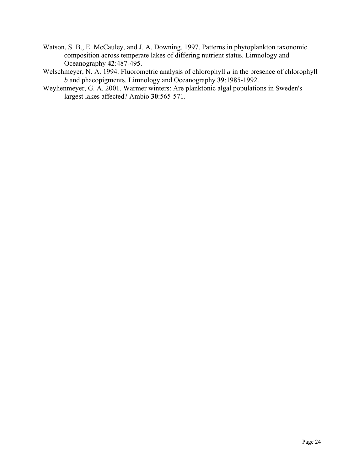Watson, S. B., E. McCauley, and J. A. Downing. 1997. Patterns in phytoplankton taxonomic composition across temperate lakes of differing nutrient status. Limnology and Oceanography **42**:487-495.

Welschmeyer, N. A. 1994. Fluorometric analysis of chlorophyll *a* in the presence of chlorophyll *b* and phaeopigments. Limnology and Oceanography **39**:1985-1992.

Weyhenmeyer, G. A. 2001. Warmer winters: Are planktonic algal populations in Sweden's largest lakes affected? Ambio **30**:565-571.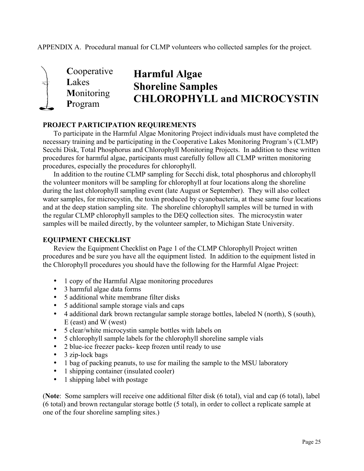APPENDIX A. Procedural manual for CLMP volunteers who collected samples for the project.



# **Harmful Algae Shoreline Samples CHLOROPHYLL and MICROCYSTIN**

## **PROJECT PARTICIPATION REQUIREMENTS**

To participate in the Harmful Algae Monitoring Project individuals must have completed the necessary training and be participating in the Cooperative Lakes Monitoring Program's (CLMP) Secchi Disk, Total Phosphorus and Chlorophyll Monitoring Projects. In addition to these written procedures for harmful algae, participants must carefully follow all CLMP written monitoring procedures, especially the procedures for chlorophyll.

In addition to the routine CLMP sampling for Secchi disk, total phosphorus and chlorophyll the volunteer monitors will be sampling for chlorophyll at four locations along the shoreline during the last chlorophyll sampling event (late August or September). They will also collect water samples, for microcystin, the toxin produced by cyanobacteria, at these same four locations and at the deep station sampling site. The shoreline chlorophyll samples will be turned in with the regular CLMP chlorophyll samples to the DEQ collection sites. The microcystin water samples will be mailed directly, by the volunteer sampler, to Michigan State University.

## **EQUIPMENT CHECKLIST**

Review the Equipment Checklist on Page 1 of the CLMP Chlorophyll Project written procedures and be sure you have all the equipment listed. In addition to the equipment listed in the Chlorophyll procedures you should have the following for the Harmful Algae Project:

- 1 copy of the Harmful Algae monitoring procedures
- 3 harmful algae data forms
- 5 additional white membrane filter disks
- 5 additional sample storage vials and caps
- 4 additional dark brown rectangular sample storage bottles, labeled N (north), S (south), E (east) and W (west)
- 5 clear/white microcystin sample bottles with labels on
- 5 chlorophyll sample labels for the chlorophyll shoreline sample vials
- 2 blue-ice freezer packs- keep frozen until ready to use
- 3 zip-lock bags
- 1 bag of packing peanuts, to use for mailing the sample to the MSU laboratory
- 1 shipping container (insulated cooler)<br>• 1 shipping label with postage
- 1 shipping label with postage

(**Note**: Some samplers will receive one additional filter disk (6 total), vial and cap (6 total), label (6 total) and brown rectangular storage bottle (5 total), in order to collect a replicate sample at one of the four shoreline sampling sites.)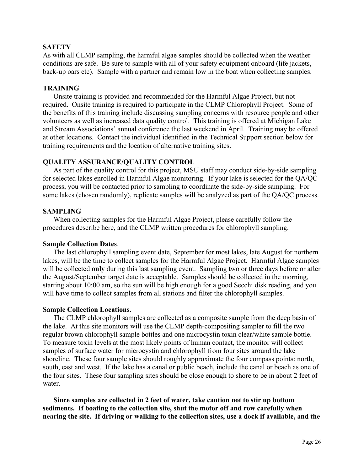## **SAFETY**

As with all CLMP sampling, the harmful algae samples should be collected when the weather conditions are safe. Be sure to sample with all of your safety equipment onboard (life jackets, back-up oars etc). Sample with a partner and remain low in the boat when collecting samples.

#### **TRAINING**

Onsite training is provided and recommended for the Harmful Algae Project, but not required. Onsite training is required to participate in the CLMP Chlorophyll Project. Some of the benefits of this training include discussing sampling concerns with resource people and other volunteers as well as increased data quality control. This training is offered at Michigan Lake and Stream Associations' annual conference the last weekend in April. Training may be offered at other locations. Contact the individual identified in the Technical Support section below for training requirements and the location of alternative training sites.

#### **QUALITY ASSURANCE/QUALITY CONTROL**

As part of the quality control for this project, MSU staff may conduct side-by-side sampling for selected lakes enrolled in Harmful Algae monitoring. If your lake is selected for the QA/QC process, you will be contacted prior to sampling to coordinate the side-by-side sampling. For some lakes (chosen randomly), replicate samples will be analyzed as part of the QA/QC process.

#### **SAMPLING**

When collecting samples for the Harmful Algae Project, please carefully follow the procedures describe here, and the CLMP written procedures for chlorophyll sampling.

#### **Sample Collection Dates**.

The last chlorophyll sampling event date, September for most lakes, late August for northern lakes, will be the time to collect samples for the Harmful Algae Project. Harmful Algae samples will be collected **only** during this last sampling event. Sampling two or three days before or after the August/September target date is acceptable. Samples should be collected in the morning, starting about 10:00 am, so the sun will be high enough for a good Secchi disk reading, and you will have time to collect samples from all stations and filter the chlorophyll samples.

#### **Sample Collection Locations**.

The CLMP chlorophyll samples are collected as a composite sample from the deep basin of the lake. At this site monitors will use the CLMP depth-compositing sampler to fill the two regular brown chlorophyll sample bottles and one microcystin toxin clear/white sample bottle. To measure toxin levels at the most likely points of human contact, the monitor will collect samples of surface water for microcystin and chlorophyll from four sites around the lake shoreline. These four sample sites should roughly approximate the four compass points: north, south, east and west. If the lake has a canal or public beach, include the canal or beach as one of the four sites. These four sampling sites should be close enough to shore to be in about 2 feet of water.

**Since samples are collected in 2 feet of water, take caution not to stir up bottom sediments. If boating to the collection site, shut the motor off and row carefully when nearing the site. If driving or walking to the collection sites, use a dock if available, and the**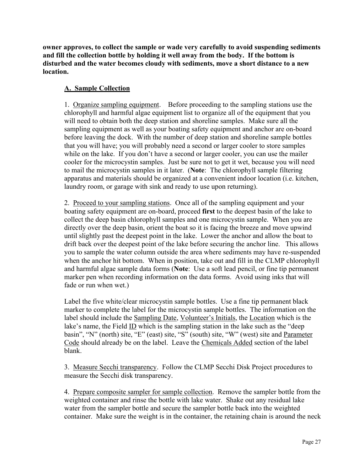**owner approves, to collect the sample or wade very carefully to avoid suspending sediments and fill the collection bottle by holding it well away from the body. If the bottom is disturbed and the water becomes cloudy with sediments, move a short distance to a new location.**

## **A. Sample Collection**

1. Organize sampling equipment. Before proceeding to the sampling stations use the chlorophyll and harmful algae equipment list to organize all of the equipment that you will need to obtain both the deep station and shoreline samples. Make sure all the sampling equipment as well as your boating safety equipment and anchor are on-board before leaving the dock. With the number of deep station and shoreline sample bottles that you will have; you will probably need a second or larger cooler to store samples while on the lake. If you don't have a second or larger cooler, you can use the mailer cooler for the microcystin samples. Just be sure not to get it wet, because you will need to mail the microcystin samples in it later. (**Note**: The chlorophyll sample filtering apparatus and materials should be organized at a convenient indoor location (i.e. kitchen, laundry room, or garage with sink and ready to use upon returning).

2. Proceed to your sampling stations. Once all of the sampling equipment and your boating safety equipment are on-board, proceed **first** to the deepest basin of the lake to collect the deep basin chlorophyll samples and one microcystin sample. When you are directly over the deep basin, orient the boat so it is facing the breeze and move upwind until slightly past the deepest point in the lake. Lower the anchor and allow the boat to drift back over the deepest point of the lake before securing the anchor line. This allows you to sample the water column outside the area where sediments may have re-suspended when the anchor hit bottom. When in position, take out and fill in the CLMP chlorophyll and harmful algae sample data forms (**Note**: Use a soft lead pencil, or fine tip permanent marker pen when recording information on the data forms. Avoid using inks that will fade or run when wet.)

Label the five white/clear microcystin sample bottles. Use a fine tip permanent black marker to complete the label for the microcystin sample bottles. The information on the label should include the Sampling Date, Volunteer's Initials, the Location which is the lake's name, the Field ID which is the sampling station in the lake such as the "deep basin", "N" (north) site, "E" (east) site, "S" (south) site, "W" (west) site and Parameter Code should already be on the label. Leave the Chemicals Added section of the label blank.

3. Measure Secchi transparency. Follow the CLMP Secchi Disk Project procedures to measure the Secchi disk transparency.

4. Prepare composite sampler for sample collection. Remove the sampler bottle from the weighted container and rinse the bottle with lake water. Shake out any residual lake water from the sampler bottle and secure the sampler bottle back into the weighted container. Make sure the weight is in the container, the retaining chain is around the neck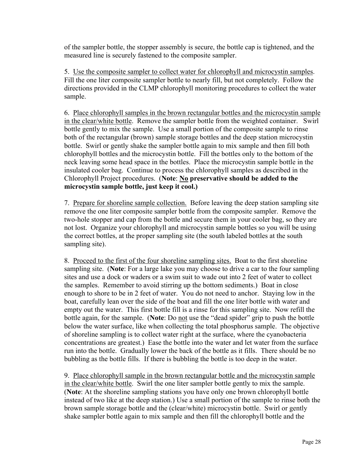of the sampler bottle, the stopper assembly is secure, the bottle cap is tightened, and the measured line is securely fastened to the composite sampler.

5. Use the composite sampler to collect water for chlorophyll and microcystin samples. Fill the one liter composite sampler bottle to nearly fill, but not completely. Follow the directions provided in the CLMP chlorophyll monitoring procedures to collect the water sample.

6. Place chlorophyll samples in the brown rectangular bottles and the microcystin sample in the clear/white bottle. Remove the sampler bottle from the weighted container. Swirl bottle gently to mix the sample. Use a small portion of the composite sample to rinse both of the rectangular (brown) sample storage bottles and the deep station microcystin bottle. Swirl or gently shake the sampler bottle again to mix sample and then fill both chlorophyll bottles and the microcystin bottle. Fill the bottles only to the bottom of the neck leaving some head space in the bottles. Place the microcystin sample bottle in the insulated cooler bag. Continue to process the chlorophyll samples as described in the Chlorophyll Project procedures. (**Note**: **No preservative should be added to the microcystin sample bottle, just keep it cool.)**

7. Prepare for shoreline sample collection. Before leaving the deep station sampling site remove the one liter composite sampler bottle from the composite sampler. Remove the two-hole stopper and cap from the bottle and secure them in your cooler bag, so they are not lost. Organize your chlorophyll and microcystin sample bottles so you will be using the correct bottles, at the proper sampling site (the south labeled bottles at the south sampling site).

8. Proceed to the first of the four shoreline sampling sites. Boat to the first shoreline sampling site. (**Note**: For a large lake you may choose to drive a car to the four sampling sites and use a dock or waders or a swim suit to wade out into 2 feet of water to collect the samples. Remember to avoid stirring up the bottom sediments.) Boat in close enough to shore to be in 2 feet of water. You do not need to anchor. Staying low in the boat, carefully lean over the side of the boat and fill the one liter bottle with water and empty out the water. This first bottle fill is a rinse for this sampling site. Now refill the bottle again, for the sample. (**Note**: Do not use the "dead spider" grip to push the bottle below the water surface, like when collecting the total phosphorus sample. The objective of shoreline sampling is to collect water right at the surface, where the cyanobacteria concentrations are greatest.) Ease the bottle into the water and let water from the surface run into the bottle. Gradually lower the back of the bottle as it fills. There should be no bubbling as the bottle fills. If there is bubbling the bottle is too deep in the water.

9. Place chlorophyll sample in the brown rectangular bottle and the microcystin sample in the clear/white bottle. Swirl the one liter sampler bottle gently to mix the sample. (**Note**: At the shoreline sampling stations you have only one brown chlorophyll bottle instead of two like at the deep station.) Use a small portion of the sample to rinse both the brown sample storage bottle and the (clear/white) microcystin bottle. Swirl or gently shake sampler bottle again to mix sample and then fill the chlorophyll bottle and the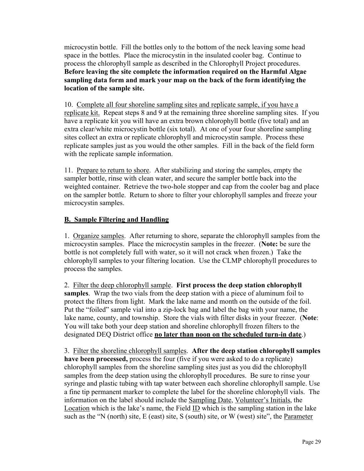microcystin bottle. Fill the bottles only to the bottom of the neck leaving some head space in the bottles. Place the microcystin in the insulated cooler bag. Continue to process the chlorophyll sample as described in the Chlorophyll Project procedures. **Before leaving the site complete the information required on the Harmful Algae sampling data form and mark your map on the back of the form identifying the location of the sample site.**

10. Complete all four shoreline sampling sites and replicate sample, if you have a replicate kit. Repeat steps 8 and 9 at the remaining three shoreline sampling sites. If you have a replicate kit you will have an extra brown chlorophyll bottle (five total) and an extra clear/white microcystin bottle (six total). At one of your four shoreline sampling sites collect an extra or replicate chlorophyll and microcystin sample. Process these replicate samples just as you would the other samples. Fill in the back of the field form with the replicate sample information.

11. Prepare to return to shore. After stabilizing and storing the samples, empty the sampler bottle, rinse with clean water, and secure the sampler bottle back into the weighted container. Retrieve the two-hole stopper and cap from the cooler bag and place on the sampler bottle. Return to shore to filter your chlorophyll samples and freeze your microcystin samples.

## **B. Sample Filtering and Handling**

1. Organize samples. After returning to shore, separate the chlorophyll samples from the microcystin samples. Place the microcystin samples in the freezer. (**Note:** be sure the bottle is not completely full with water, so it will not crack when frozen.) Take the chlorophyll samples to your filtering location. Use the CLMP chlorophyll procedures to process the samples.

2. Filter the deep chlorophyll sample. **First process the deep station chlorophyll samples**. Wrap the two vials from the deep station with a piece of aluminum foil to protect the filters from light. Mark the lake name and month on the outside of the foil. Put the "foiled" sample vial into a zip-lock bag and label the bag with your name, the lake name, county, and township. Store the vials with filter disks in your freezer. (**Note**: You will take both your deep station and shoreline chlorophyll frozen filters to the designated DEQ District office **no later than noon on the scheduled turn-in date**.)

3. Filter the shoreline chlorophyll samples. **After the deep station chlorophyll samples have been processed,** process the four (five if you were asked to do a replicate) chlorophyll samples from the shoreline sampling sites just as you did the chlorophyll samples from the deep station using the chlorophyll procedures. Be sure to rinse your syringe and plastic tubing with tap water between each shoreline chlorophyll sample. Use a fine tip permanent marker to complete the label for the shoreline chlorophyll vials. The information on the label should include the Sampling Date, Volunteer's Initials, the Location which is the lake's name, the Field ID which is the sampling station in the lake such as the "N (north) site, E (east) site, S (south) site, or W (west) site", the Parameter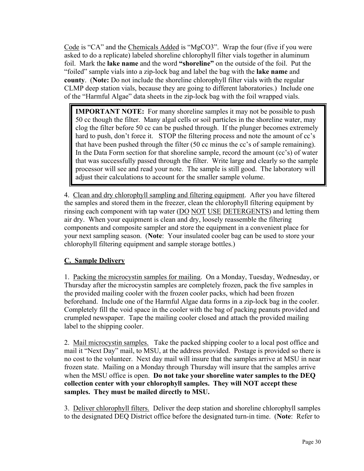Code is "CA" and the Chemicals Added is "MgCO3". Wrap the four (five if you were asked to do a replicate) labeled shoreline chlorophyll filter vials together in aluminum foil. Mark the **lake name** and the word **"shoreline"** on the outside of the foil. Put the "foiled" sample vials into a zip-lock bag and label the bag with the **lake name** and **county**. (**Note:** Do not include the shoreline chlorophyll filter vials with the regular CLMP deep station vials, because they are going to different laboratories.) Include one of the "Harmful Algae" data sheets in the zip-lock bag with the foil wrapped vials.

**IMPORTANT NOTE:** For many shoreline samples it may not be possible to push 50 cc though the filter. Many algal cells or soil particles in the shoreline water, may clog the filter before 50 cc can be pushed through. If the plunger becomes extremely hard to push, don't force it. STOP the filtering process and note the amount of cc's that have been pushed through the filter (50 cc minus the cc's of sample remaining). In the Data Form section for that shoreline sample, record the amount (cc's) of water that was successfully passed through the filter. Write large and clearly so the sample processor will see and read your note. The sample is still good. The laboratory will adjust their calculations to account for the smaller sample volume.

4. Clean and dry chlorophyll sampling and filtering equipment. After you have filtered the samples and stored them in the freezer, clean the chlorophyll filtering equipment by rinsing each component with tap water (DO NOT USE DETERGENTS) and letting them air dry. When your equipment is clean and dry, loosely reassemble the filtering components and composite sampler and store the equipment in a convenient place for your next sampling season. (**Note**: Your insulated cooler bag can be used to store your chlorophyll filtering equipment and sample storage bottles.)

## **C. Sample Delivery**

1. Packing the microcystin samples for mailing. On a Monday, Tuesday, Wednesday, or Thursday after the microcystin samples are completely frozen, pack the five samples in the provided mailing cooler with the frozen cooler packs, which had been frozen beforehand. Include one of the Harmful Algae data forms in a zip-lock bag in the cooler. Completely fill the void space in the cooler with the bag of packing peanuts provided and crumpled newspaper. Tape the mailing cooler closed and attach the provided mailing label to the shipping cooler.

2. Mail microcystin samples. Take the packed shipping cooler to a local post office and mail it "Next Day" mail, to MSU, at the address provided. Postage is provided so there is no cost to the volunteer. Next day mail will insure that the samples arrive at MSU in near frozen state. Mailing on a Monday through Thursday will insure that the samples arrive when the MSU office is open. **Do not take your shoreline water samples to the DEQ collection center with your chlorophyll samples. They will NOT accept these samples. They must be mailed directly to MSU.**

3. Deliver chlorophyll filters. Deliver the deep station and shoreline chlorophyll samples to the designated DEQ District office before the designated turn-in time. (**Note**: Refer to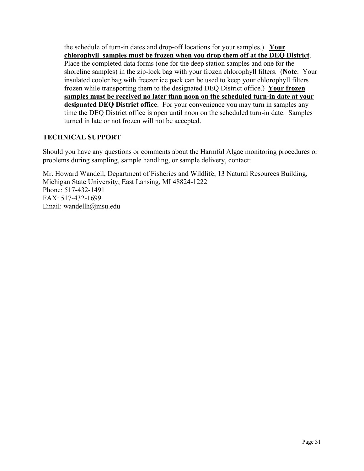the schedule of turn-in dates and drop-off locations for your samples.) **Your chlorophyll samples must be frozen when you drop them off at the DEQ District**. Place the completed data forms (one for the deep station samples and one for the shoreline samples) in the zip-lock bag with your frozen chlorophyll filters. (**Note**: Your insulated cooler bag with freezer ice pack can be used to keep your chlorophyll filters frozen while transporting them to the designated DEQ District office.) **Your frozen samples must be received no later than noon on the scheduled turn-in date at your designated DEQ District office**. For your convenience you may turn in samples any time the DEQ District office is open until noon on the scheduled turn-in date. Samples turned in late or not frozen will not be accepted.

## **TECHNICAL SUPPORT**

Should you have any questions or comments about the Harmful Algae monitoring procedures or problems during sampling, sample handling, or sample delivery, contact:

Mr. Howard Wandell, Department of Fisheries and Wildlife, 13 Natural Resources Building, Michigan State University, East Lansing, MI 48824-1222 Phone: 517-432-1491 FAX: 517-432-1699 Email: wandellh@msu.edu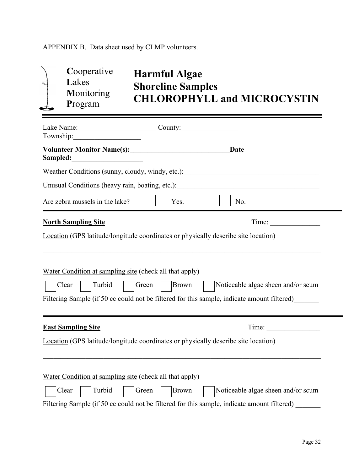APPENDIX B. Data sheet used by CLMP volunteers.

| 戋 | Cooperative<br>Lakes<br>Monitoring<br>Program    | <b>Harmful Algae</b><br><b>Shoreline Samples</b><br><b>CHLOROPHYLL and MICROCYSTIN</b> |
|---|--------------------------------------------------|----------------------------------------------------------------------------------------|
|   | Lake Name:<br>Township:                          | County:                                                                                |
|   | <b>Volunteer Monitor Name(s):</b><br>Sampled:    | Date                                                                                   |
|   | Weather Conditions (sunny, cloudy, windy, etc.): |                                                                                        |

| Unusual Conditions (heavy rain, boating, etc.): |  |
|-------------------------------------------------|--|
|                                                 |  |

 $\mathcal{L}_\mathcal{L} = \{ \mathcal{L}_\mathcal{L} = \{ \mathcal{L}_\mathcal{L} = \{ \mathcal{L}_\mathcal{L} = \{ \mathcal{L}_\mathcal{L} = \{ \mathcal{L}_\mathcal{L} = \{ \mathcal{L}_\mathcal{L} = \{ \mathcal{L}_\mathcal{L} = \{ \mathcal{L}_\mathcal{L} = \{ \mathcal{L}_\mathcal{L} = \{ \mathcal{L}_\mathcal{L} = \{ \mathcal{L}_\mathcal{L} = \{ \mathcal{L}_\mathcal{L} = \{ \mathcal{L}_\mathcal{L} = \{ \mathcal{L}_\mathcal{$ 

| Are zebra mussels in the lake? | $\vert$ Yes. | $\vert$ $\vert$ No. |
|--------------------------------|--------------|---------------------|
|                                |              |                     |

# **North Sampling Site** Time:

Location (GPS latitude/longitude coordinates or physically describe site location)

| Water Condition at sampling site (check all that apply)                                                                          |                                    |  |  |  |  |  |
|----------------------------------------------------------------------------------------------------------------------------------|------------------------------------|--|--|--|--|--|
| Clear<br>Turbid<br>Brown<br>Green<br>Filtering Sample (if 50 cc could not be filtered for this sample, indicate amount filtered) | Noticeable algae sheen and/or scum |  |  |  |  |  |
| <b>East Sampling Site</b><br>Time:<br><b>Location</b> (GPS latitude/longitude coordinates or physically describe site location)  |                                    |  |  |  |  |  |
| Water Condition at sampling site (check all that apply)                                                                          |                                    |  |  |  |  |  |

| Clear | Turbid | $\vert$ Green | Brown | Noticeable algae sheen and/or scum                                                          |
|-------|--------|---------------|-------|---------------------------------------------------------------------------------------------|
|       |        |               |       | Filtering Sample (if 50 cc could not be filtered for this sample, indicate amount filtered) |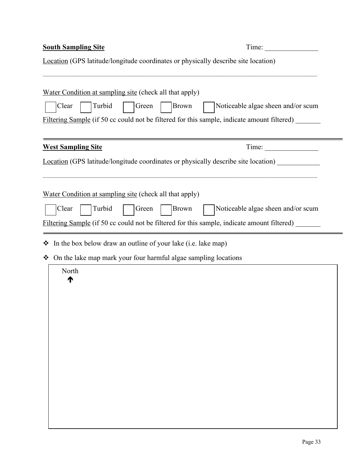| <b>South Sampling Site</b>                                                                  | Time:                              |
|---------------------------------------------------------------------------------------------|------------------------------------|
| Location (GPS latitude/longitude coordinates or physically describe site location)          |                                    |
|                                                                                             |                                    |
| Water Condition at sampling site (check all that apply)                                     |                                    |
| Clear<br>Turbid<br>Green<br>Brown                                                           | Noticeable algae sheen and/or scum |
| Filtering Sample (if 50 cc could not be filtered for this sample, indicate amount filtered) |                                    |
|                                                                                             |                                    |
| <b>West Sampling Site</b>                                                                   |                                    |
| <b>Location</b> (GPS latitude/longitude coordinates or physically describe site location)   |                                    |
|                                                                                             |                                    |
| Water Condition at sampling site (check all that apply)                                     |                                    |
| Turbid<br>Brown<br>Clear<br>Green                                                           | Noticeable algae sheen and/or scum |
| Filtering Sample (if 50 cc could not be filtered for this sample, indicate amount filtered) |                                    |
|                                                                                             |                                    |
| $\cdot \cdot$ In the box below draw an outline of your lake (i.e. lake map)                 |                                    |
| • On the lake map mark your four harmful algae sampling locations                           |                                    |
| North                                                                                       |                                    |
|                                                                                             |                                    |
|                                                                                             |                                    |
|                                                                                             |                                    |
|                                                                                             |                                    |
|                                                                                             |                                    |
|                                                                                             |                                    |
|                                                                                             |                                    |
|                                                                                             |                                    |
|                                                                                             |                                    |
|                                                                                             |                                    |
|                                                                                             |                                    |
|                                                                                             |                                    |
|                                                                                             |                                    |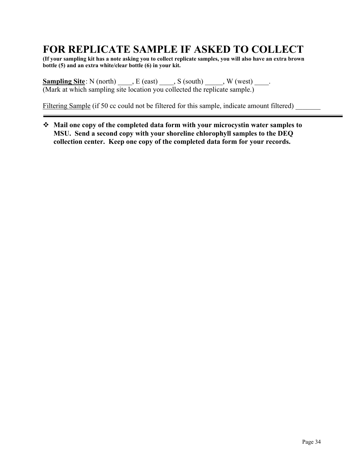# **FOR REPLICATE SAMPLE IF ASKED TO COLLECT**

**(If your sampling kit has a note asking you to collect replicate samples, you will also have an extra brown bottle (5) and an extra white/clear bottle (6) in your kit.**

**Sampling Site**: N (north) \_\_\_\_, E (east) \_\_\_\_, S (south) \_\_\_\_\_, W (west) \_\_\_\_. (Mark at which sampling site location you collected the replicate sample.)

Filtering Sample (if 50 cc could not be filtered for this sample, indicate amount filtered)

 **Mail one copy of the completed data form with your microcystin water samples to MSU. Send a second copy with your shoreline chlorophyll samples to the DEQ collection center. Keep one copy of the completed data form for your records.**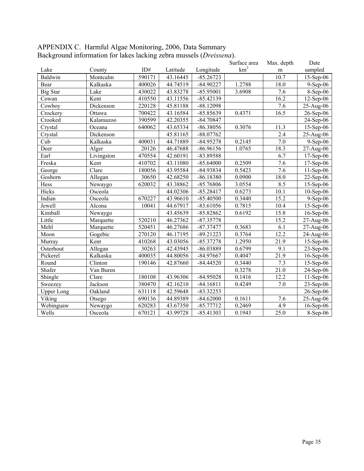| APPENDIX C. Harmful Algae Monitoring, 2006, Data Summary            |  |
|---------------------------------------------------------------------|--|
| Background information for lakes lacking zebra mussels (Dreissena). |  |

|                   |            |        |          |             | Surface area    | Max. depth | Date         |
|-------------------|------------|--------|----------|-------------|-----------------|------------|--------------|
| Lake              | County     | ID#    | Latitude | Longitude   | km <sup>2</sup> | m          | sampled      |
| Baldwin           | Montcalm   | 590171 | 43.16445 | $-85.26723$ |                 | 10.7       | $15-Sep-06$  |
| Bear              | Kalkaska   | 400026 | 44.74519 | $-84.90227$ | 1.2788          | 18.0       | $9-Sep-06$   |
| <b>Big Star</b>   | Lake       | 430022 | 43.83278 | $-85.95001$ | 3.6908          | 7.6        | 8-Sep-06     |
| Cowan             | Kent       | 410550 | 43.11556 | $-85.42139$ |                 | 16.2       | $12$ -Sep-06 |
| Cowboy            | Dickenson  | 220128 | 45.81188 | $-88.12098$ |                 | 7.6        | 25-Aug-06    |
| Crockery          | Ottawa     | 700422 | 43.16584 | $-85.85639$ | 0.4371          | 16.5       | 26-Sep-06    |
| Crooked           | Kalamazoo  | 390599 | 42.20355 | $-84.70847$ |                 |            | 24-Sep-06    |
| Crystal           | Oceana     | 640062 | 43.65334 | $-86.38056$ | 0.3076          | 11.3       | 15-Sep-06    |
| Crystal           | Dickenson  |        | 45.81165 | $-88.07762$ |                 | 2.4        | 25-Aug-06    |
| Cub               | Kalkaska   | 400031 | 44.71889 | $-84.95278$ | 0.2145          | 7.0        | 9-Sep-06     |
| Deer              | Alger      | 20126  | 46.47688 | $-86.96156$ | 1.0765          | 18.3       | 27-Aug-06    |
| Earl              | Livingston | 470554 | 42.60191 | -83.89588   |                 | 6.7        | 17-Sep-06    |
| Freska            | Kent       | 410702 | 43.11080 | $-85.64000$ | 0.2509          | 7.6        | 17-Sep-06    |
| George            | Clare      | 180056 | 43.95584 | $-84.93834$ | 0.5423          | 7.6        | 11-Sep-06    |
| Goshorn           | Allegan    | 30650  | 42.68250 | $-86.18380$ | 0.0900          | 18.0       | 22-Sep-06    |
| Hess              | Newaygo    | 620032 | 43.38862 | $-85.76806$ | 3.0554          | 8.5        | 15-Sep-06    |
| Hicks             | Osceola    |        | 44.02306 | $-85.28417$ | 0.6273          | 10.1       | $10-Sep-06$  |
| Indian            | Osceola    | 670227 | 43.96610 | $-85.40500$ | 0.3440          | 15.2       | 9-Sep-06     |
| Jewell            | Alcona     | 10041  | 44.67917 | $-83.61056$ | 0.7815          | 10.4       | 15-Sep-06    |
| Kimball           | Newaygo    |        | 43.45639 | $-85.82862$ | 0.6192          | 15.8       | 16-Sep-06    |
| Little            | Marquette  | 520210 | 46.27362 | $-87.35778$ |                 | 15.2       | 27-Aug-06    |
| Mehl              | Marquette  | 520451 | 46.27686 | $-87.37477$ | 0.3683          | 6.1        | 27-Aug-06    |
| Moon              | Gogebic    | 270120 | 46.17195 | $-89.21223$ | 0.3764          | 12.2       | 24-Aug-06    |
| Murray            | Kent       | 410268 | 43.03056 | $-85.37278$ | 1.2950          | 21.9       | 15-Sep-06    |
| Osterhout         | Allegan    | 30263  | 42.43945 | $-86.03889$ | 0.6799          | 9.1        | 23-Sep-06    |
| Pickerel          | Kalkaska   | 400035 | 44.80056 | $-84.97667$ | 0.4047          | 21.9       | 16-Sep-06    |
| Round             | Clinton    | 190146 | 42.87660 | $-84.44520$ | 0.3440          | 7.3        | 15-Sep-06    |
| Shafer            | Van Buren  |        |          |             | 0.3278          | 21.0       | 24-Sep-06    |
| Shingle           | Clare      | 180108 | 43.96306 | $-84.95028$ | 0.1416          | 12.2       | $11-Sep-06$  |
| Sweezey           | Jackson    | 380470 | 42.16210 | $-84.16811$ | 0.4249          | 7.0        | 23-Sep-06    |
| <b>Upper Long</b> | Oakland    | 631118 | 42.59648 | $-83.32253$ |                 |            | 26-Sep-06    |
| Viking            | Otsego     | 690136 | 44.89389 | $-84.62000$ | 0.1611          | 7.6        | 25-Aug-06    |
| Webinguaw         | Newaygo    | 620283 | 43.67350 | $-85.77712$ | 0.2469          | 4.9        | $16$ -Sep-06 |
| Wells             | Osceola    | 670121 | 43.99728 | $-85.41303$ | 0.1943          | 25.0       | 8-Sep-06     |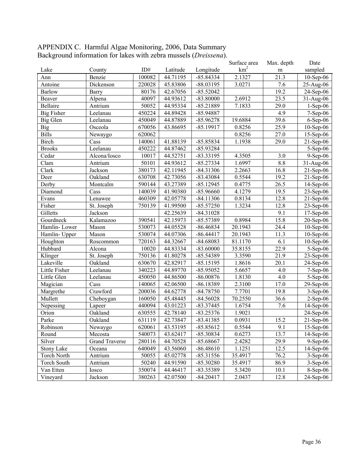| APPENDIX C. Harmful Algae Monitoring, 2006, Data Summary                  |
|---------------------------------------------------------------------------|
| Background information for lakes with zebra mussels ( <i>Dreissena</i> ). |
|                                                                           |

|                   |                       |        |          |             | Surface area    | Max. depth | Date                    |
|-------------------|-----------------------|--------|----------|-------------|-----------------|------------|-------------------------|
| Lake              | County                | ID#    | Latitude | Longitude   | km <sup>2</sup> | m          | sampled                 |
| Ann               | Benzie                | 100082 | 44.71195 | $-85.84334$ | 2.1327          | 21.3       | $10-Sep-06$             |
| Antoine           | Dickenson             | 220028 | 45.83806 | $-88.03195$ | 3.0271          | 7.6        | 25-Aug-06               |
| <b>Barlow</b>     | Barry                 | 80176  | 42.67056 | $-85.52042$ |                 | 19.2       | 24-Sep-06               |
| Beaver            | Alpena                | 40097  | 44.93612 | $-83.80000$ | 2.6912          | 23.5       | $31-Aug-06$             |
| Bellaire          | Antrium               | 50052  | 44.95334 | $-85.21889$ | 7.1833          | 29.0       | $1-Sep-06$              |
| <b>Big Fisher</b> | Leelanau              | 450224 | 44.89428 | -85.94887   |                 | 4.9        | $7-Sep-06$              |
| Big Glen          | Leelanau              | 450049 | 44.87889 | $-85.96278$ | 19.6884         | 39.6       | $6-Sep-06$              |
| <b>Big</b>        | Osceola               | 670056 | 43.86695 | $-85.19917$ | 0.8256          | 25.9       | $10-Sep-06$             |
| <b>Bills</b>      | Newaygo               | 620062 |          |             | 0.8256          | 27.0       | 15-Sep-06               |
| <b>Birch</b>      | Cass                  | 140061 | 41.88139 | $-85.85834$ | 1.1938          | 29.0       | $21-Sep-06$             |
| <b>Brooks</b>     | Leelanau              | 450222 | 44.87462 | $-85.93284$ |                 |            | $5-Sep-06$              |
| Cedar             | Alcona/Iosco          | 10017  | 44.52751 | $-83.33195$ | 4.3505          | 3.0        | $9-Sep-06$              |
| Clam              | Antrium               | 50101  | 44.93612 | $-85.27334$ | 1.6997          | 8.8        | 31-Aug-06               |
| Clark             | Jackson               | 380173 | 42.11945 | $-84.31306$ | 2.2663          | 16.8       | $21-Sep-06$             |
| Deer              | Oakland               | 630708 | 42.73056 | $-83.43084$ | 0.5544          | 19.2       | $21-Sep-06$             |
| Derby             | Montcalm              | 590144 | 43.27389 | $-85.12945$ | 0.4775          | 26.5       | $14-Sep-06$             |
| Diamond           | Cass                  | 140039 | 41.90380 | $-85.96660$ | 4.1279          | 19.5       | 23-Sep-06               |
| Evans             | Lenawee               | 460309 | 42.05778 | $-84.11306$ | 0.8134          | 12.8       | $21-Sep-06$             |
| Fisher            | St. Joseph            | 750139 | 41.99500 | $-85.57250$ | 1.3234          | 12.8       | $\overline{2}$ 3-Sep-06 |
| Gilletts          | Jackson               |        | 42.25639 | $-84.31028$ |                 | 9.1        | 17-Sep-06               |
| Gourdneck         | Kalamazoo             | 390541 | 42.15973 | -85.57389   | 0.8984          | 15.8       | 20-Sep-06               |
| Hamlin-Lower      | Mason                 | 530073 | 44.05528 | $-86.46834$ | 20.1943         | 24.4       | $10-Sep-06$             |
| Hamlin- Upper     | Mason                 | 530074 | 44.07306 | $-86.44417$ | 20.1943         | 11.3       | $10-Sep-06$             |
| Houghton          | Roscommon             | 720163 | 44.32667 | -84.68083   | 81.1170         | 6.1        | $10-Sep-06$             |
| Hubbard           | Alcona                | 10020  | 44.83334 | $-83.60000$ | 35.8155         | 22.9       | $5-Sep-06$              |
| Klinger           | St. Joseph            | 750136 | 41.80278 | -85.54389   | 3.3590          | 21.9       | 23-Sep-06               |
| Lakeville         | Oakland               | 630670 | 42.82917 | $-85.15195$ | 1.8616          | 20.1       | 24-Sep-06               |
| Little Fisher     | Leelanau              | 340223 | 44.89770 | $-85.95052$ | 5.6657          | 4.0        | $7-Sep-06$              |
| Little Glen       | Leelanau              | 450050 | 44.86500 | $-86.00876$ | 1.8130          | 4.0        | $5-Sep-06$              |
| Magician          | Cass                  | 140065 | 42.06500 | $-86.18389$ | 2.3100          | 17.0       | 29-Sep-06               |
| Margrethe         | Crawford              | 200036 | 44.62778 | $-84.78750$ | 7.7701          | 19.8       | $3-Sep-06$              |
| Mullett           | Cheboygan             | 160050 | 45.48445 | $-84.56028$ | 70.2550         | 36.6       | $2-Sep-06$              |
| Nepessing         | Lapeer                | 440094 | 43.01223 | $-83.37445$ | 1.6754          | 7.6        | $14-Sep-06$             |
| Orion             | Oakland               | 630555 | 42.78140 | $-83.25376$ | 1.9021          |            | $24-Sep-06$             |
| Parke             | Oakland               | 631119 | 42.73847 | $-83.41385$ | 0.0931          | 15.2       | $21$ -Sep-06            |
| Robinson          | Newaygo               | 620061 | 43.53195 | $-85.85612$ | 0.5544          | 9.1        | $15$ -Sep-06            |
| Round             | Mecosta               | 540073 | 43.62417 | $-85.30834$ | 0.6273          | 13.7       | $14-Sep-06$             |
| Silver            | <b>Grand Traverse</b> | 280116 | 44.70528 | $-85.68667$ | 2.4282          | 29.9       | $9-Sep-06$              |
| <b>Stony Lake</b> | Oceana                | 640049 | 43.56060 | $-86.48610$ | 1.1251          | 12.5       | $14-Sep-06$             |
| Torch North       | Antrium               | 50055  | 45.02778 | $-85.31556$ | 35.4917         | 76.2       | $3-Sep-06$              |
| Torch South       | Antrium               | 50240  | 44.91590 | $-85.30280$ | 35.4917         | 86.9       | $3-Sep-06$              |
| Van Etten         | Iosco                 | 350074 | 44.46417 | -83.35389   | 5.3420          | 10.1       | $8-Sep-06$              |
| Vineyard          | Jackson               | 380263 | 42.07500 | $-84.20417$ | 2.0437          | 12.8       | $24$ -Sep-06            |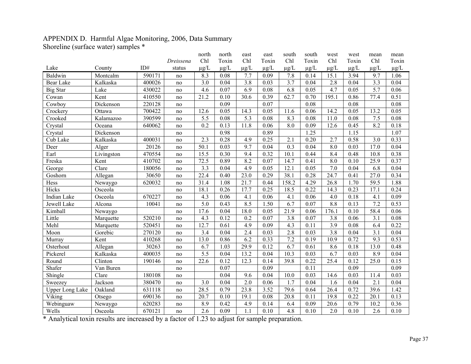## APPENDIX D. Harmful Algae Monitoring, 2006, Data Summary Shoreline (surface water) samples \*

|                        |            |        |           | north            | north             | east             | east      | south                  | south     | west                             | west      | mean             | mean      |
|------------------------|------------|--------|-----------|------------------|-------------------|------------------|-----------|------------------------|-----------|----------------------------------|-----------|------------------|-----------|
|                        |            |        | Dreissena | Chl              | Toxin             | Chl              | Toxin     | Chl                    | Toxin     | Chl                              | Toxin     | Chl              | Toxin     |
| Lake                   | County     | ID#    | status    | $\mu g/L$        | $\mu$ g/L         | $\mu g/L$        | $\mu$ g/L | $\mu\text{g}/\text{L}$ | $\mu g/L$ | $\underline{\mu}\underline{g}/L$ | $\mu$ g/L | $\mu$ g/L        | $\mu g/L$ |
| Baldwin                | Montcalm   | 590171 | no        | 8.3              | 0.08              | 7.7              | 0.09      | 7.8                    | 0.14      | 15.1                             | 3.94      | 9.7              | 1.06      |
| <b>Bear Lake</b>       | Kalkaska   | 400026 | no        | 3.0              | 0.04              | $\overline{3.8}$ | 0.03      | 3.7                    | 0.04      | 2.8                              | 0.04      | 3.3              | 0.04      |
| <b>Big Star</b>        | Lake       | 430022 | no        | 4.6              | 0.07              | 6.9              | 0.08      | 6.8                    | 0.05      | 4.7                              | 0.05      | $\overline{5.7}$ | 0.06      |
| Cowan                  | Kent       | 410550 | no        | 21.2             | 0.10              | 30.6             | 0.39      | 62.7                   | 0.70      | 195.1                            | 0.86      | 77.4             | 0.51      |
| Cowboy                 | Dickenson  | 220128 | no        |                  | 0.09              |                  | 0.07      |                        | 0.08      |                                  | 0.08      |                  | 0.08      |
| Crockery               | Ottawa     | 700422 | no        | 12.6             | 0.05              | 14.3             | 0.05      | 11.6                   | 0.06      | 14.2                             | 0.05      | 13.2             | 0.05      |
| Crooked                | Kalamazoo  | 390599 | no        | 5.5              | 0.08              | $\overline{5.3}$ | 0.08      | 8.3                    | 0.08      | 11.0                             | 0.08      | 7.5              | 0.08      |
| Crystal                | Oceana     | 640062 | no        | 0.2              | $\overline{0.13}$ | 11.8             | 0.06      | 8.0                    | 0.09      | 12.6                             | 0.45      | 8.2              | 0.18      |
| Crystal                | Dickenson  |        | no        |                  | 0.98              |                  | 0.89      |                        | 1.25      |                                  | 1.15      |                  | 1.07      |
| Cub Lake               | Kalkaska   | 400031 | no        | 2.3              | 0.28              | 4.9              | 0.25      | 2.1                    | 0.20      | 2.7                              | 0.58      | $\overline{3.0}$ | 0.33      |
| Deer                   | Alger      | 20126  | no        | 50.1             | 0.03              | $\overline{9.7}$ | 0.04      | 0.3                    | 0.04      | 8.0                              | 0.03      | 17.0             | 0.04      |
| Earl                   | Livingston | 470554 | no        | 15.5             | 0.30              | 9.4              | 0.32      | 10.1                   | 0.44      | 8.4                              | 0.48      | 10.8             | 0.38      |
| Freska                 | Kent       | 410702 | no        | 72.5             | 0.89              | 8.2              | 0.07      | 14.7                   | 0.41      | $\overline{8.0}$                 | 0.10      | 25.9             | 0.37      |
| George                 | Clare      | 180056 | no        | 3.3              | 0.04              | 4.9              | 0.05      | 12.1                   | 0.05      | $\overline{7.0}$                 | 0.04      | 6.8              | 0.04      |
| Goshorn                | Allegan    | 30650  | no        | 22.4             | 0.40              | 23.0             | 0.29      | 38.1                   | 0.28      | 24.7                             | 0.41      | 27.0             | 0.34      |
| Hess                   | Newaygo    | 620032 | no        | 31.4             | 1.08              | 21.7             | 0.44      | 158.2                  | 4.29      | 26.8                             | 1.70      | 59.5             | 1.88      |
| Hicks                  | Osceola    |        | no        | 18.1             | 0.26              | 17.7             | 0.25      | 18.5                   | 0.22      | 14.3                             | 0.23      | 17.1             | 0.24      |
| Indian Lake            | Osceola    | 670227 | no        | 4.3              | 0.06              | 4.1              | 0.06      | 4.1                    | 0.06      | 4.0                              | 0.18      | 4.1              | 0.09      |
| Jewell Lake            | Alcona     | 10041  | no        | $\overline{5.0}$ | 0.43              | 8.5              | 1.50      | 6.7                    | 0.07      | 8.8                              | 0.13      | 7.2              | 0.53      |
| Kimball                | Newaygo    |        | no        | 17.6             | 0.04              | 18.0             | 0.05      | 21.9                   | 0.06      | 176.1                            | 0.10      | 58.4             | 0.06      |
| Little                 | Marquette  | 520210 | no        | 4.3              | 0.12              | 0.2              | 0.07      | 3.8                    | 0.07      | 3.8                              | 0.06      | 3.1              | 0.08      |
| Mehl                   | Marquette  | 520451 | no        | 12.7             | 0.61              | 4.9              | 0.09      | 4.3                    | 0.11      | 3.9                              | 0.08      | 6.4              | 0.22      |
| Moon                   | Gorebic    | 270120 | no        | 3.4              | 0.04              | 2.4              | 0.03      | 2.8                    | 0.03      | $\overline{3.8}$                 | 0.04      | 3.1              | 0.04      |
| Murray                 | Kent       | 410268 | no        | 13.0             | 0.86              | 6.2              | 0.33      | 7.2                    | 0.19      | 10.9                             | 0.72      | 9.3              | 0.53      |
| Osterhout              | Allegan    | 30263  | no        | 6.7              | 1.03              | 29.9             | 0.12      | 6.7                    | 0.61      | 8.6                              | 0.18      | 13.0             | 0.48      |
| Pickerel               | Kalkaska   | 400035 | no        | $\overline{5.5}$ | 0.04              | 13.2             | 0.04      | 10.3                   | 0.03      | 6.7                              | 0.03      | 8.9              | 0.04      |
| Round                  | Clinton    | 190146 | no        | 22.6             | 0.12              | 12.3             | 0.14      | 39.8                   | 0.22      | 25.4                             | 0.12      | 25.0             | 0.15      |
| Shafer                 | Van Buren  |        | no        |                  | 0.07              |                  | 0.09      |                        | 0.11      |                                  | 0.09      |                  | 0.09      |
| Shingle                | Clare      | 180108 | no        |                  | 0.04              | 9.6              | 0.04      | 10.0                   | 0.03      | 14.6                             | 0.03      | 11.4             | 0.03      |
| Sweezey                | Jackson    | 380470 | no        | 3.0              | 0.04              | $\overline{2.0}$ | 0.06      | $\overline{1.7}$       | 0.04      | 1.6                              | 0.04      | $\overline{2.1}$ | 0.04      |
| <b>Upper Long Lake</b> | Oakland    | 631118 | no        | 28.5             | 0.79              | 23.8             | 3.52      | 79.6                   | 0.64      | 26.4                             | 0.72      | 39.6             | 1.42      |
| Viking                 | Otsego     | 690136 | no        | 20.7             | 0.10              | 19.1             | 0.08      | 20.8                   | 0.11      | 19.8                             | 0.22      | 20.1             | 0.13      |
| Webinguaw              | Newaygo    | 620283 | no        | 8.9              | 0.42              | 4.9              | 0.14      | 6.4                    | 0.09      | 20.6                             | 0.79      | 10.2             | 0.36      |
| Wells                  | Osceola    | 670121 | no        | 2.6              | 0.09              | 1.1              | 0.10      | 4.8                    | 0.10      | 2.0                              | 0.10      | 2.6              | 0.10      |

\* Analytical toxin results are increased by a factor of 1.23 to adjust for sample preparation.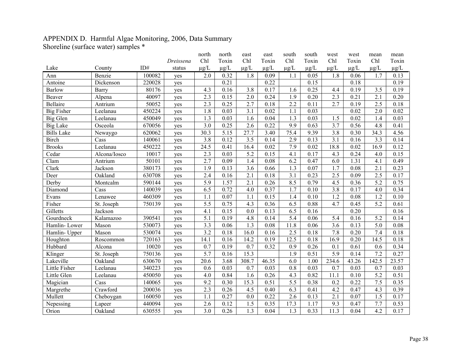## APPENDIX D. Harmful Algae Monitoring, 2006, Data Summary Shoreline (surface water) samples \*

| $\frac{1}{2}$     |              |        |           | north            | north     | east      | east                             | south                            | south     | west      | west      | mean      | mean      |
|-------------------|--------------|--------|-----------|------------------|-----------|-----------|----------------------------------|----------------------------------|-----------|-----------|-----------|-----------|-----------|
|                   |              |        | Dreissena | Chl              | Toxin     | Chl       | Toxin                            | Chl                              | Toxin     | Chl       | Toxin     | Chl       | Toxin     |
| Lake              | County       | ID#    | status    | $\mu$ g/L        | $\mu$ g/L | $\mu$ g/L | $\underline{\mu}\underline{g}/L$ | $\underline{\mu}\underline{g}/L$ | $\mu$ g/L | $\mu$ g/L | $\mu g/L$ | $\mu$ g/L | $\mu g/L$ |
| Ann               | Benzie       | 100082 | yes       | 2.0              | 0.32      | 1.8       | 0.09                             | 1.1                              | 0.05      | 1.8       | 0.06      | 1.7       | 0.13      |
| Antoine           | Dickenson    | 220028 | yes       |                  | 0.21      |           | 0.22                             |                                  | 0.15      |           | 0.18      |           | 0.19      |
| <b>Barlow</b>     | Barry        | 80176  | yes       | 4.3              | 0.16      | 3.8       | 0.17                             | 1.6                              | 0.25      | 4.4       | 0.19      | 3.5       | 0.19      |
| Beaver            | Alpena       | 40097  | yes       | 2.3              | 0.15      | 2.0       | 0.24                             | 1.9                              | 0.20      | 2.3       | 0.21      | 2.1       | 0.20      |
| <b>Bellaire</b>   | Antrium      | 50052  | yes       | 2.3              | 0.25      | 2.7       | 0.18                             | 2.2                              | 0.11      | 2.7       | 0.19      | 2.5       | 0.18      |
| <b>Big Fisher</b> | Leelanau     | 450224 | yes       | 1.8              | 0.03      | 3.1       | 0.02                             | 1.1                              | 0.03      |           | 0.02      | 2.0       | 0.02      |
| Big Glen          | Leelanau     | 450049 | yes       | 1.3              | 0.03      | 1.6       | 0.04                             | 1.3                              | 0.03      | 1.5       | 0.02      | 1.4       | 0.03      |
| <b>Big Lake</b>   | Osceola      | 670056 | yes       | $\overline{3.0}$ | 0.25      | 2.6       | 0.22                             | 9.9                              | 0.63      | 3.7       | 0.56      | 4.8       | 0.41      |
| <b>Bills Lake</b> | Newaygo      | 620062 | yes       | 30.3             | 5.15      | 27.7      | 3.40                             | 75.4                             | 9.39      | 3.8       | 0.30      | 34.3      | 4.56      |
| <b>Birch</b>      | Cass         | 140061 | yes       | 3.8              | 0.12      | 3.5       | 0.14                             | 2.9                              | 0.13      | 3.1       | 0.16      | 3.3       | 0.14      |
| <b>Brooks</b>     | Leelanau     | 450222 | yes       | 24.5             | 0.41      | 16.4      | 0.02                             | 7.9                              | 0.02      | 18.8      | 0.02      | 16.9      | 0.12      |
| Cedar             | Alcona/Iosco | 10017  | yes       | 2.3              | 0.03      | 5.2       | 0.15                             | 4.1                              | 0.17      | 4.3       | 0.24      | 4.0       | 0.15      |
| Clam              | Antrium      | 50101  | yes       | 2.7              | 0.09      | 1.4       | 0.08                             | 6.2                              | 0.47      | 6.0       | 1.31      | 4.1       | 0.49      |
| Clark             | Jackson      | 380173 | yes       | 1.9              | 0.13      | 3.6       | 0.66                             | 1.3                              | 0.07      | 1.7       | 0.08      | 2.1       | 0.23      |
| Deer              | Oakland      | 630708 | yes       | 2.4              | 0.16      | 2.1       | 0.18                             | 3.1                              | 0.23      | 2.5       | 0.09      | 2.5       | 0.17      |
| Derby             | Montcalm     | 590144 | yes       | $\overline{5.9}$ | 1.57      | 2.1       | 0.26                             | 8.5                              | 0.79      | 4.5       | 0.36      | 5.2       | 0.75      |
| Diamond           | Cass         | 140039 | yes       | 6.5              | 0.72      | 4.0       | 0.37                             | 1.7                              | 0.10      | 3.8       | 0.17      | 4.0       | 0.34      |
| Evans             | Lenawee      | 460309 | yes       | 1.1              | 0.07      | 1.1       | 0.15                             | 1.4                              | 0.10      | 1.2       | 0.08      | 1.2       | 0.10      |
| Fisher            | St. Joseph   | 750139 | yes       | 5.5              | 0.75      | 4.3       | 0.36                             | 6.5                              | 0.88      | 4.7       | 0.45      | 5.2       | 0.61      |
| Gilletts          | Jackson      |        | yes       | 4.1              | 0.15      | 0.0       | 0.13                             | 6.5                              | 0.16      |           | 0.20      |           | 0.16      |
| Gourdneck         | Kalamazoo    | 390541 | yes       | 5.1              | 0.19      | 4.8       | 0.14                             | 5.4                              | 0.06      | 5.4       | 0.16      | 5.2       | 0.14      |
| Hamlin-Lower      | Mason        | 530073 | yes       | 3.3              | 0.06      | 1.3       | 0.08                             | 11.8                             | 0.06      | 3.6       | 0.13      | 5.0       | 0.08      |
| Hamlin- Upper     | Mason        | 530074 | yes       | $\overline{3.2}$ | 0.18      | 16.0      | 0.16                             | 2.5                              | 0.18      | 7.8       | 0.20      | 7.4       | 0.18      |
| Houghton          | Roscommon    | 720163 | yes       | 14.1             | 0.16      | 14.2      | 0.19                             | 12.5                             | 0.18      | 16.9      | 0.20      | 14.5      | 0.18      |
| Hubbard           | Alcona       | 10020  | yes       | 0.7              | 0.19      | 0.7       | 0.32                             | 0.9                              | 0.26      | 0.1       | 0.61      | 0.6       | 0.34      |
| Klinger           | St. Joseph   | 750136 | yes       | $\overline{5.7}$ | 0.16      | 15.3      |                                  | 1.9                              | 0.51      | 5.9       | 0.14      | 7.2       | 0.27      |
| Lakeville         | Oakland      | 630670 | yes       | 20.6             | 3.68      | 308.7     | 46.35                            | 6.0                              | 1.00      | 234.6     | 43.26     | 142.5     | 23.57     |
| Little Fisher     | Leelanau     | 340223 | yes       | 0.6              | 0.03      | 0.7       | 0.03                             | 0.8                              | 0.03      | 0.7       | 0.03      | 0.7       | 0.03      |
| Little Glen       | Leelanau     | 450050 | yes       | 4.0              | 0.84      | 1.6       | 0.26                             | 4.3                              | 0.82      | 11.1      | 0.10      | 5.2       | 0.51      |
| Magician          | Cass         | 140065 | yes       | 9.2              | 0.30      | 15.3      | 0.51                             | 5.5                              | 0.38      | 0.2       | 0.22      | 7.5       | 0.35      |
| Margrethe         | Crawford     | 200036 | yes       | 2.3              | 0.26      | 4.5       | 0.40                             | 6.3                              | 0.41      | 4.2       | 0.47      | 4.3       | 0.39      |
| Mullett           | Cheboygan    | 160050 | yes       | 1.1              | 0.27      | 0.0       | 0.22                             | 2.6                              | 0.13      | 2.1       | 0.07      | 1.5       | 0.17      |
| Nepessing         | Lapeer       | 440094 | yes       | 2.6              | 0.12      | 1.5       | 0.35                             | 17.3                             | 1.17      | 9.3       | 0.47      | 7.7       | 0.53      |
| Orion             | Oakland      | 630555 | yes       | 3.0              | 0.26      | 1.3       | 0.04                             | 1.3                              | 0.33      | 11.3      | 0.04      | 4.2       | 0.17      |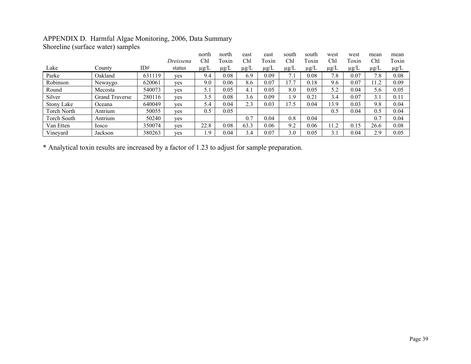## APPENDIX D. Harmful Algae Monitoring, 2006, Data Summary Shoreline (surface water) samples

|             |                       |        |           | north     | north     | east            | east      | south     | south     | west            | west      | mean      | mean      |
|-------------|-----------------------|--------|-----------|-----------|-----------|-----------------|-----------|-----------|-----------|-----------------|-----------|-----------|-----------|
|             |                       |        | Dreissena | Chl       | Toxin     | Ch <sub>l</sub> | Toxin     | Chl       | Toxin     | Ch <sub>l</sub> | Toxin     | Chl       | Toxin     |
| Lake        | County                | ID#    | status    | $\mu$ g/L | $\mu$ g/L | $\mu$ g/L       | $\mu$ g/L | $\mu$ g/L | $\mu$ g/L | $\mu$ g/L       | $\mu$ g/L | $\mu$ g/L | $\mu$ g/L |
| Parke       | Oakland               | 631119 | ves       | 9.4       | 0.08      | 6.9             | 0.09      | 7.1       | 0.08      | 7.8             | 0.07      | 7.8       | 0.08      |
| Robinson    | Newaygo               | 620061 | ves       | 9.0       | 0.06      | 8.6             | 0.07      | 17.7      | 0.18      | 9.6             | 0.07      | 1.2       | 0.09      |
| Round       | Mecosta               | 540073 | yes       | 5.1       | 0.05      | 4.1             | 0.05      | 8.0       | 0.05      | 5.2             | 0.04      | 5.6       | 0.05      |
| Silver      | <b>Grand Traverse</b> | 280116 | yes       | 3.5       | 0.08      | 3.6             | 0.09      | i.9       | 0.21      | 3.4             | 0.07      | 3.1       | 0.11      |
| Stony Lake  | Oceana                | 640049 | ves       | 5.4       | 0.04      | 2.3             | 0.03      | 17.5      | 0.04      | 13.9            | 0.03      | 9.8       | 0.04      |
| Torch North | Antrium               | 50055  | yes       | 0.5       | 0.05      |                 |           |           |           | 0.5             | 0.04      | 0.5       | 0.04      |
| Torch South | Antrium               | 50240  | yes       |           |           | 0.7             | 0.04      | 0.8       | 0.04      |                 |           | 0.7       | 0.04      |
| Van Etten   | losco                 | 350074 | yes       | 22.8      | 0.08      | 63.3            | 0.06      | 9.2       | 0.06      | 11.2            | 0.15      | 26.6      | 0.08      |
| Vineyard    | Jackson               | 380263 | yes       | $\cdot$ 9 | 0.04      | 3.4             | 0.07      | 3.0       | 0.05      | 3.1             | 0.04      | 2.9       | 0.05      |

\* Analytical toxin results are increased by a factor of 1.23 to adjust for sample preparation.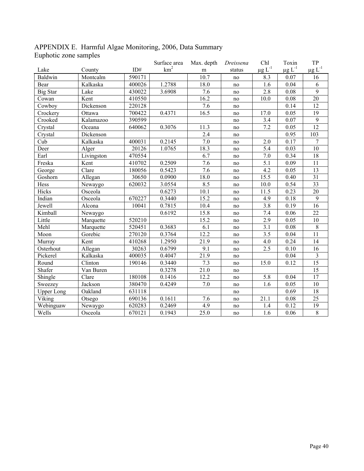|                       | APPENDIX E. Harmful Algae Monitoring, 2006, Data Summary |  |  |
|-----------------------|----------------------------------------------------------|--|--|
| Euphotic zone samples |                                                          |  |  |

|                   |            |        | Surface area    | Max. depth       | Dreissena | Chl              | Toxin                   | TP                                     |
|-------------------|------------|--------|-----------------|------------------|-----------|------------------|-------------------------|----------------------------------------|
| Lake              | County     | ID#    | km <sup>2</sup> | m                | status    | $\mu g$ $L^{-1}$ | $\mu$ g L <sup>-1</sup> | $\underline{\mu} \underline{g} L^{-1}$ |
| Baldwin           | Montcalm   | 590171 |                 | 10.7             | no        | 8.3              | 0.07                    | 16                                     |
| Bear              | Kalkaska   | 400026 | 1.2788          | 18.0             | no        | 1.6              | 0.04                    | 6                                      |
| <b>Big Star</b>   | Lake       | 430022 | 3.6908          | $\overline{7.6}$ | no        | 2.8              | 0.08                    | $\overline{9}$                         |
| Cowan             | Kent       | 410550 |                 | 16.2             | no        | 10.0             | 0.08                    | $\overline{20}$                        |
| Cowboy            | Dickenson  | 220128 |                 | 7.6              | no        |                  | 0.14                    | 12                                     |
| Crockery          | Ottawa     | 700422 | 0.4371          | 16.5             | no        | 17.0             | 0.05                    | 19                                     |
| Crooked           | Kalamazoo  | 390599 |                 |                  | no        | 3.4              | 0.07                    | 9                                      |
| Crystal           | Oceana     | 640062 | 0.3076          | 11.3             | no        | 7.2              | 0.05                    | 12                                     |
| Crystal           | Dickenson  |        |                 | 2.4              | no        |                  | 0.95                    | 103                                    |
| Cub               | Kalkaska   | 400031 | 0.2145          | 7.0              | no        | 2.0              | 0.17                    | $\overline{7}$                         |
| Deer              | Alger      | 20126  | 1.0765          | 18.3             | no        | 5.4              | 0.03                    | 10                                     |
| Earl              | Livingston | 470554 |                 | 6.7              | no        | 7.0              | 0.34                    | 18                                     |
| Freska            | Kent       | 410702 | 0.2509          | 7.6              | no        | 5.1              | 0.09                    | 11                                     |
| George            | Clare      | 180056 | 0.5423          | 7.6              | no        | $\overline{4.2}$ | 0.05                    | $\overline{13}$                        |
| Goshorn           | Allegan    | 30650  | 0.0900          | 18.0             | no        | 15.5             | 0.40                    | $\overline{31}$                        |
| Hess              | Newaygo    | 620032 | 3.0554          | 8.5              | no        | 10.0             | 0.54                    | $\overline{33}$                        |
| Hicks             | Osceola    |        | 0.6273          | 10.1             | no        | 11.5             | 0.23                    | $20\,$                                 |
| Indian            | Osceola    | 670227 | 0.3440          | 15.2             | no        | 4.9              | 0.18                    | 9                                      |
| Jewell            | Alcona     | 10041  | 0.7815          | 10.4             | no        | 3.8              | 0.19                    | 16                                     |
| Kimball           | Newaygo    |        | 0.6192          | 15.8             | no        | 7.4              | 0.06                    | 22                                     |
| Little            | Marquette  | 520210 |                 | 15.2             | no        | 2.9              | 0.05                    | 10                                     |
| Mehl              | Marquette  | 520451 | 0.3683          | 6.1              | no        | 3.1              | 0.08                    | $\overline{8}$                         |
| Moon              | Gorebic    | 270120 | 0.3764          | 12.2             | no        | 3.5              | 0.04                    | 11                                     |
| Murray            | Kent       | 410268 | 1.2950          | 21.9             | no        | 4.0              | 0.24                    | 14                                     |
| Osterhout         | Allegan    | 30263  | 0.6799          | 9.1              | no        | $\overline{2.5}$ | 0.10                    | $\overline{16}$                        |
| Pickerel          | Kalkaska   | 400035 | 0.4047          | 21.9             | no        |                  | 0.04                    | $\mathfrak{Z}$                         |
| Round             | Clinton    | 190146 | 0.3440          | 7.3              | no        | 15.0             | 0.12                    | 15                                     |
| Shafer            | Van Buren  |        | 0.3278          | 21.0             | no        |                  |                         | $\overline{15}$                        |
| Shingle           | Clare      | 180108 | 0.1416          | 12.2             | no        | 5.8              | 0.04                    | $\overline{17}$                        |
| Sweezey           | Jackson    | 380470 | 0.4249          | $7.0\,$          | no        | 1.6              | 0.05                    | 10                                     |
| <b>Upper Long</b> | Oakland    | 631118 |                 |                  | no        |                  | 0.69                    | $18\,$                                 |
| Viking            | Otsego     | 690136 | 0.1611          | 7.6              | no        | 21.1             | 0.08                    | 25                                     |
| Webinguaw         | Newaygo    | 620283 | 0.2469          | 4.9              | no        | 1.4              | 0.12                    | 19                                     |
| Wells             | Osceola    | 670121 | 0.1943          | 25.0             | no        | 1.6              | 0.06                    | $\overline{8}$                         |